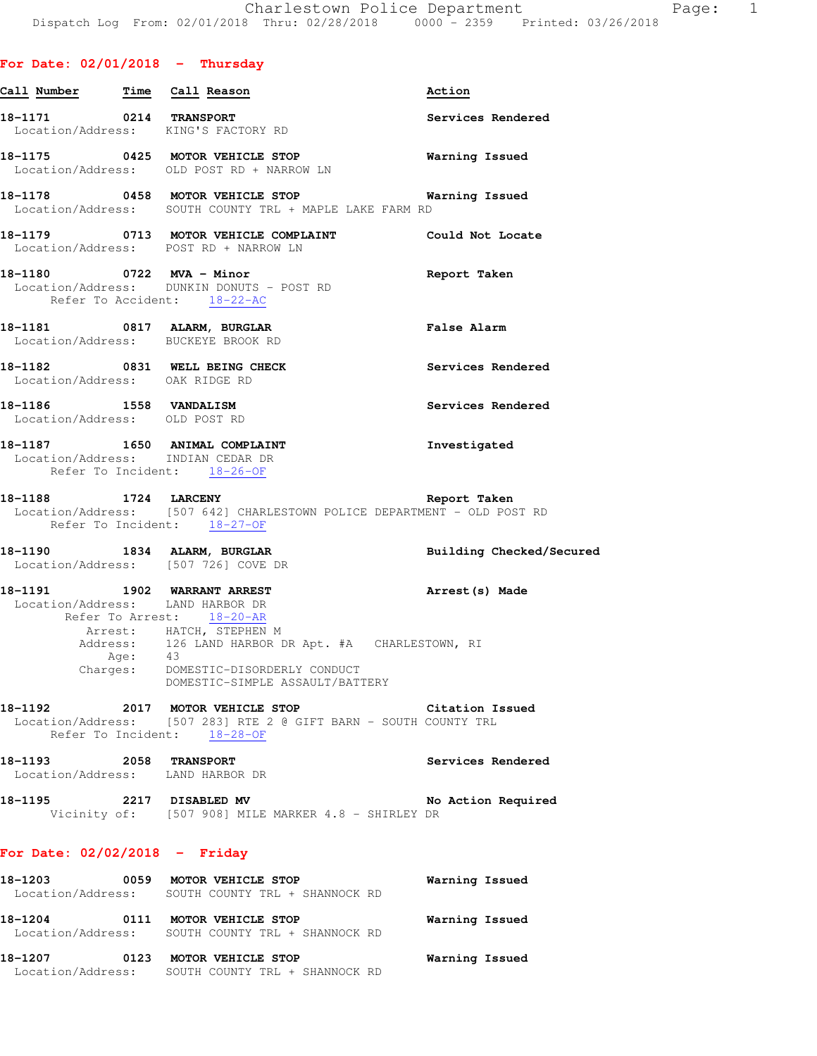| Call Number Time Call Reason                                |                                                                                                                                                                       | Action                   |
|-------------------------------------------------------------|-----------------------------------------------------------------------------------------------------------------------------------------------------------------------|--------------------------|
|                                                             | 18-1171 0214 TRANSPORT<br>Location/Address: KING'S FACTORY RD                                                                                                         | Services Rendered        |
|                                                             | 18-1175 0425 MOTOR VEHICLE STOP<br>Location/Address: OLD POST RD + NARROW LN                                                                                          | <b>Warning Issued</b>    |
|                                                             | 18-1178 		 0458 MOTOR VEHICLE STOP 		 Warning Issued<br>Location/Address: SOUTH COUNTY TRL + MAPLE LAKE FARM RD                                                       |                          |
|                                                             | 18-1179 0713 MOTOR VEHICLE COMPLAINT Could Not Locate<br>Location/Address: POST RD + NARROW LN                                                                        |                          |
|                                                             | 18-1180 0722 MVA - Minor<br>Location/Address: DUNKIN DONUTS - POST RD<br>Refer To Accident: 18-22-AC                                                                  | Report Taken             |
|                                                             | 18-1181 0817 ALARM, BURGLAR<br>Location/Address: BUCKEYE BROOK RD                                                                                                     | False Alarm              |
| Location/Address: OAK RIDGE RD                              | 18-1182 0831 WELL BEING CHECK                                                                                                                                         | Services Rendered        |
| 18-1186   1558   VANDALISM<br>Location/Address: OLD POST RD |                                                                                                                                                                       | Services Rendered        |
|                                                             | 18-1187 1650 ANIMAL COMPLAINT<br>Location/Address: INDIAN CEDAR DR<br>Refer To Incident: 18-26-OF                                                                     | Investigated             |
|                                                             | 18-1188 1724 LARCENY 18-1188 Report Taken<br>Location/Address: [507 642] CHARLESTOWN POLICE DEPARTMENT - OLD POST RD<br>Refer To Incident: 18-27-OF                   |                          |
|                                                             | 18-1190 1834 ALARM, BURGLAR<br>Location/Address: [507 726] COVE DR                                                                                                    | Building Checked/Secured |
|                                                             | 18-1191 1902 WARRANT ARREST<br>Location/Address: LAND HARBOR DR<br>Refer To Arrest: 18-20-AR                                                                          | Arrest(s) Made           |
|                                                             | Arrest: HATCH, STEPHEN M<br>Address: 126 LAND HARBOR DR Apt. #A CHARLESTOWN, RI<br>Age: 43<br>Charges: DOMESTIC-DISORDERLY CONDUCT<br>DOMESTIC-SIMPLE ASSAULT/BATTERY |                          |
|                                                             | 18-1192 2017 MOTOR VEHICLE STOP<br>Location/Address: [507 283] RTE 2 @ GIFT BARN - SOUTH COUNTY TRL<br>Refer To Incident: 18-28-OF                                    | Citation Issued          |
|                                                             | 18-1193 2058 TRANSPORT<br>Location/Address: LAND HARBOR DR                                                                                                            | Services Rendered        |
|                                                             | 18-1195 2217 DISABLED MV No<br>Vicinity of: [507 908] MILE MARKER 4.8 - SHIRLEY DR                                                                                    | No Action Required       |
| For Date: $02/02/2018$ - Friday                             |                                                                                                                                                                       |                          |
|                                                             |                                                                                                                                                                       |                          |

| 18-1203<br>0059<br>Location/Address: | MOTOR VEHICLE STOP<br>SOUTH COUNTY TRL + SHANNOCK RD | Warning Issued |
|--------------------------------------|------------------------------------------------------|----------------|
| 18-1204<br>0111<br>Location/Address: | MOTOR VEHICLE STOP<br>SOUTH COUNTY TRL + SHANNOCK RD | Warning Issued |
| 18-1207<br>0123<br>Location/Address: | MOTOR VEHICLE STOP<br>SOUTH COUNTY TRL + SHANNOCK RD | Warning Issued |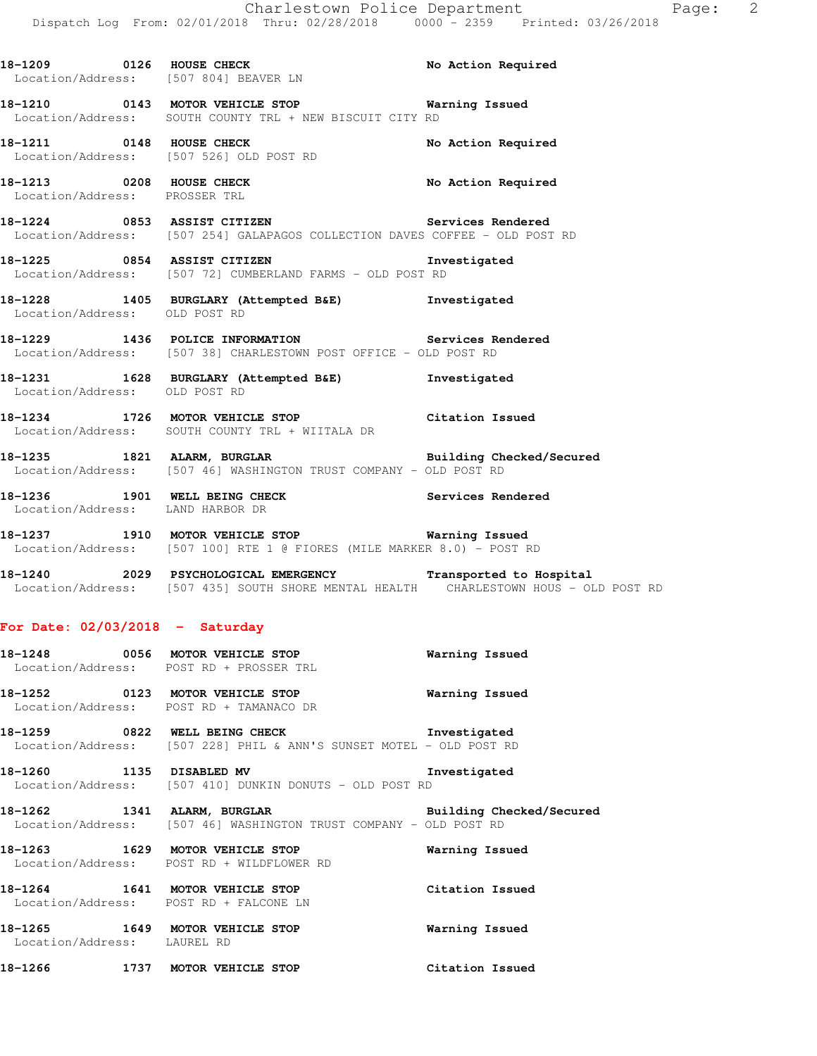18-1209 **0126 HOUSE CHECK 18-1209** No Action Required Location/Address: [507 804] BEAVER LN **18-1210 0143 MOTOR VEHICLE STOP Warning Issued**  Location/Address: SOUTH COUNTY TRL + NEW BISCUIT CITY RD 18-1211 **0148** HOUSE CHECK **No Action Required**  Location/Address: [507 526] OLD POST RD **18-1213 0208 HOUSE CHECK No Action Required**  Location/Address: PROSSER TRL **18-1224 0853 ASSIST CITIZEN Services Rendered**  Location/Address: [507 254] GALAPAGOS COLLECTION DAVES COFFEE - OLD POST RD **18-1225 0854 ASSIST CITIZEN Investigated**  Location/Address: [507 72] CUMBERLAND FARMS - OLD POST RD **18-1228 1405 BURGLARY (Attempted B&E) Investigated**  Location/Address: OLD POST RD **18-1229 1436 POLICE INFORMATION Services Rendered**  Location/Address: [507 38] CHARLESTOWN POST OFFICE - OLD POST RD **18-1231 1628 BURGLARY (Attempted B&E) Investigated**  Location/Address: OLD POST RD **18-1234 1726 MOTOR VEHICLE STOP Citation Issued**  Location/Address: SOUTH COUNTY TRL + WIITALA DR **18-1235 1821 ALARM, BURGLAR Building Checked/Secured**  Location/Address: [507 46] WASHINGTON TRUST COMPANY - OLD POST RD **18-1236 1901 WELL BEING CHECK Services Rendered**  Location/Address: LAND HARBOR DR **18-1237 1910 MOTOR VEHICLE STOP Warning Issued**  Location/Address: [507 100] RTE 1 @ FIORES (MILE MARKER 8.0) - POST RD

**18-1240 2029 PSYCHOLOGICAL EMERGENCY Transported to Hospital**  Location/Address: [507 435] SOUTH SHORE MENTAL HEALTH CHARLESTOWN HOUS - OLD POST RD

#### **For Date: 02/03/2018 - Saturday**

| 18-1248<br>Location/Address: | 0056 | MOTOR VEHICLE STOP<br>POST RD + PROSSER TRL                                             | Warning Issued           |
|------------------------------|------|-----------------------------------------------------------------------------------------|--------------------------|
| 18–1252<br>Location/Address: | 0123 | MOTOR VEHICLE STOP<br>POST RD + TAMANACO DR                                             | Warning Issued           |
| 18-1259                      | 0822 | WELL BEING CHECK<br>Location/Address: [507 228] PHIL & ANN'S SUNSET MOTEL - OLD POST RD | Investigated             |
| 18-1260                      | 1135 | DISABLED MV<br>Location/Address: [507 410] DUNKIN DONUTS - OLD POST RD                  | Investigated             |
| 18-1262                      | 1341 | ALARM, BURGLAR                                                                          | Building Checked/Secured |

Location/Address: [507 46] WASHINGTON TRUST COMPANY - OLD POST RD

**18-1263 1629 MOTOR VEHICLE STOP Warning Issued**  Location/Address: POST RD + WILDFLOWER RD

**18-1264 1641 MOTOR VEHICLE STOP Citation Issued**  Location/Address: POST RD + FALCONE LN **18-1265 1649 MOTOR VEHICLE STOP Warning Issued**  Location/Address: LAUREL RD

**18-1266 1737 MOTOR VEHICLE STOP Citation Issued**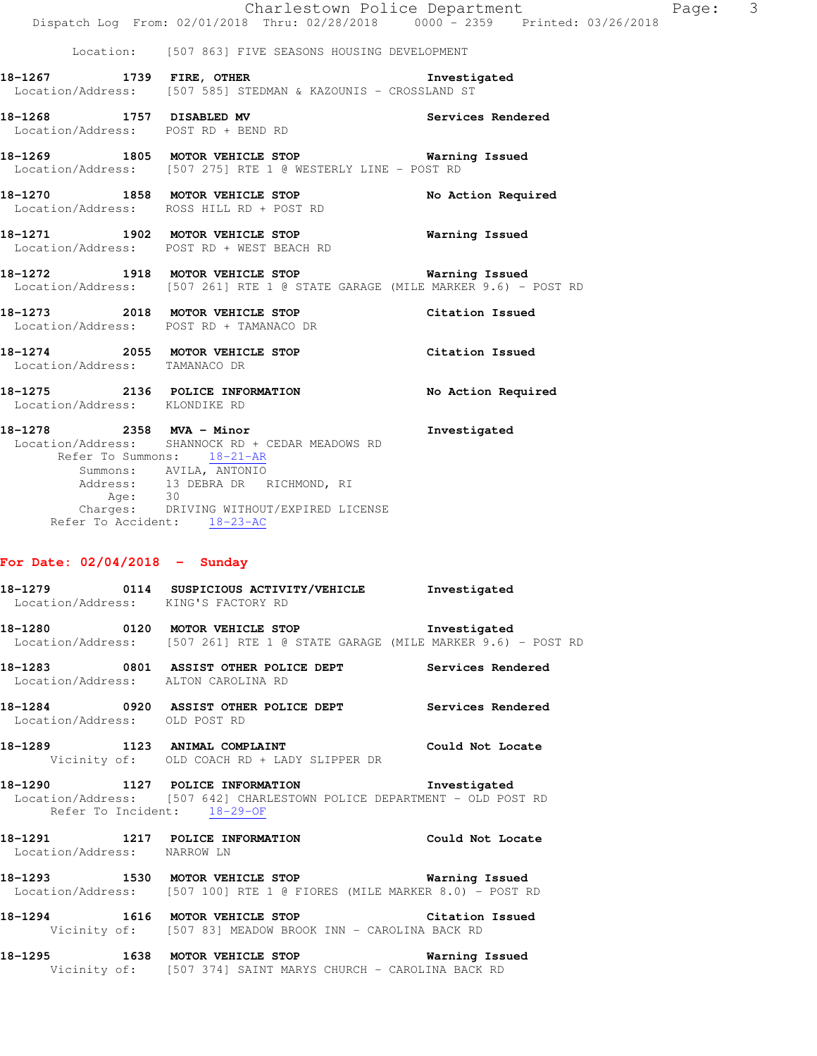Location: [507 863] FIVE SEASONS HOUSING DEVELOPMENT

- **18-1267 1739 FIRE, OTHER Investigated**  Location/Address: [507 585] STEDMAN & KAZOUNIS - CROSSLAND ST
- **18-1268 1757 DISABLED MV Services Rendered**  Location/Address: POST RD + BEND RD
- **18-1269 1805 MOTOR VEHICLE STOP Warning Issued**  Location/Address: [507 275] RTE 1 @ WESTERLY LINE - POST RD
- **18-1270 1858 MOTOR VEHICLE STOP No Action Required**  Location/Address: ROSS HILL RD + POST RD
- **18-1271 1902 MOTOR VEHICLE STOP Warning Issued**  Location/Address: POST RD + WEST BEACH RD
- **18-1272 1918 MOTOR VEHICLE STOP Warning Issued**  Location/Address: [507 261] RTE 1 @ STATE GARAGE (MILE MARKER 9.6) - POST RD
- **18-1273 2018 MOTOR VEHICLE STOP Citation Issued**  Location/Address: POST RD + TAMANACO DR
- **18-1274 2055 MOTOR VEHICLE STOP Citation Issued**  Location/Address: TAMANACO DR
- **18-1275 2136 POLICE INFORMATION No Action Required**  Location/Address: KLONDIKE RD
- **18-1278 2358 MVA Minor Investigated**  Location/Address: SHANNOCK RD + CEDAR MEADOWS RD Refer To Summons: 18-21-AR Summons: AVILA, ANTONIO Address: 13 DEBRA DR RICHMOND, RI Age: 30 Charges: DRIVING WITHOUT/EXPIRED LICENSE Refer To Accident: 18-23-AC

#### **For Date: 02/04/2018 - Sunday**

- **18-1279 0114 SUSPICIOUS ACTIVITY/VEHICLE Investigated**  Location/Address: KING'S FACTORY RD **18-1280 0120 MOTOR VEHICLE STOP Investigated**  Location/Address: [507 261] RTE 1 @ STATE GARAGE (MILE MARKER 9.6) - POST RD **18-1283 0801 ASSIST OTHER POLICE DEPT Services Rendered**  Location/Address: ALTON CAROLINA RD **18-1284 0920 ASSIST OTHER POLICE DEPT Services Rendered**  Location/Address: OLD POST RD **18-1289 1123 ANIMAL COMPLAINT Could Not Locate**  Vicinity of: OLD COACH RD + LADY SLIPPER DR **18-1290 1127 POLICE INFORMATION Investigated**  Location/Address: [507 642] CHARLESTOWN POLICE DEPARTMENT - OLD POST RD Refer To Incident: 18-29-OF **18-1291 1217 POLICE INFORMATION Could Not Locate**  Location/Address: NARROW LN **18-1293 1530 MOTOR VEHICLE STOP Warning Issued**  Location/Address: [507 100] RTE 1 @ FIORES (MILE MARKER 8.0) - POST RD **18-1294 1616 MOTOR VEHICLE STOP Citation Issued**  Vicinity of: [507 83] MEADOW BROOK INN - CAROLINA BACK RD
- **18-1295 1638 MOTOR VEHICLE STOP Warning Issued**  Vicinity of: [507 374] SAINT MARYS CHURCH - CAROLINA BACK RD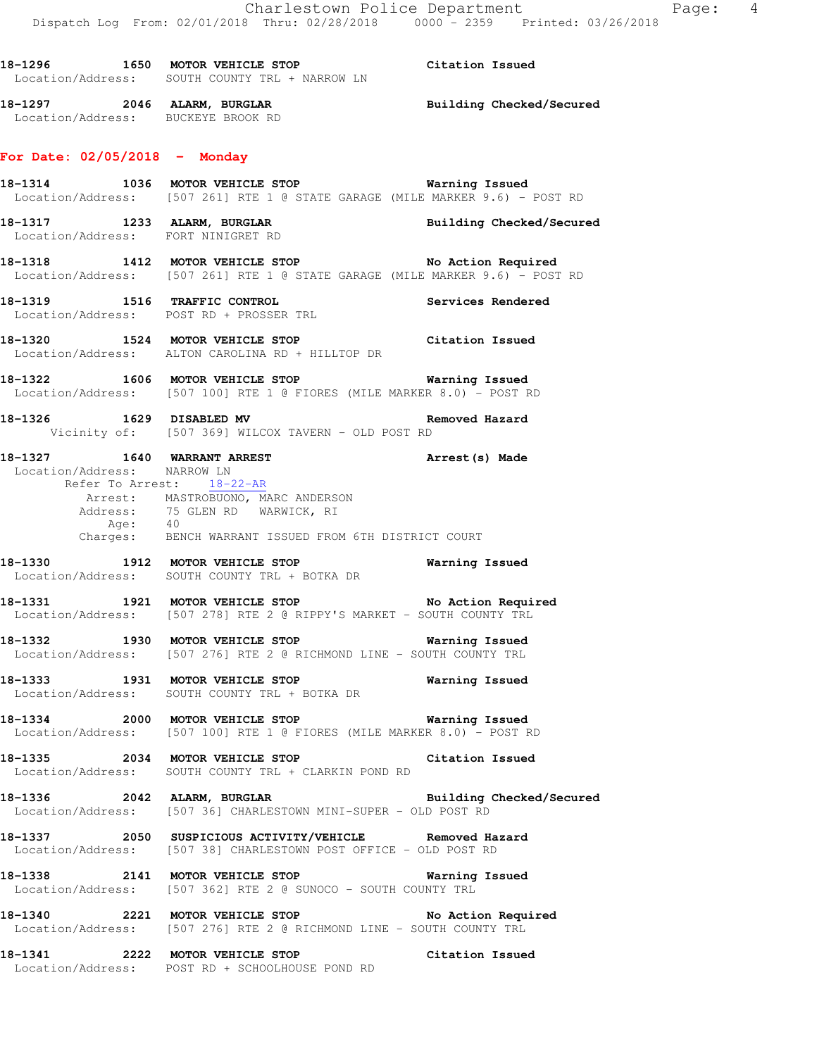**18-1296 1650 MOTOR VEHICLE STOP Citation Issued**  Location/Address: SOUTH COUNTY TRL + NARROW LN **18-1297 2046 ALARM, BURGLAR Building Checked/Secured**  Location/Address: BUCKEYE BROOK RD **For Date: 02/05/2018 - Monday 18-1314 1036 MOTOR VEHICLE STOP Warning Issued**  Location/Address: [507 261] RTE 1 @ STATE GARAGE (MILE MARKER 9.6) - POST RD **18-1317 1233 ALARM, BURGLAR Building Checked/Secured**  Location/Address: FORT NINIGRET RD 18-1318 1412 MOTOR VEHICLE STOP No Action Required Location/Address: [507 261] RTE 1 @ STATE GARAGE (MILE MARKER 9.6) - POST RD **18-1319 1516 TRAFFIC CONTROL Services Rendered**  Location/Address: POST RD + PROSSER TRL **18-1320 1524 MOTOR VEHICLE STOP Citation Issued**  Location/Address: ALTON CAROLINA RD + HILLTOP DR **18-1322 1606 MOTOR VEHICLE STOP Warning Issued**  Location/Address: [507 100] RTE 1 @ FIORES (MILE MARKER 8.0) - POST RD **18-1326 1629 DISABLED MV Removed Hazard**  Vicinity of: [507 369] WILCOX TAVERN - OLD POST RD **18-1327 1640 WARRANT ARREST Arrest(s) Made**  Location/Address: NARROW LN Refer To Arrest: 18-22-AR Arrest: MASTROBUONO, MARC ANDERSON Address: 75 GLEN RD WARWICK, RI Age: 40 Charges: BENCH WARRANT ISSUED FROM 6TH DISTRICT COURT **18-1330 1912 MOTOR VEHICLE STOP Warning Issued**  Location/Address: SOUTH COUNTY TRL + BOTKA DR **18-1331 1921 MOTOR VEHICLE STOP No Action Required**  Location/Address: [507 278] RTE 2 @ RIPPY'S MARKET - SOUTH COUNTY TRL **18-1332 1930 MOTOR VEHICLE STOP Warning Issued**  Location/Address: [507 276] RTE 2 @ RICHMOND LINE - SOUTH COUNTY TRL **18-1333 1931 MOTOR VEHICLE STOP Warning Issued**  Location/Address: SOUTH COUNTY TRL + BOTKA DR **18-1334 2000 MOTOR VEHICLE STOP Warning Issued**  Location/Address: [507 100] RTE 1 @ FIORES (MILE MARKER 8.0) - POST RD **18-1335 2034 MOTOR VEHICLE STOP Citation Issued**  Location/Address: SOUTH COUNTY TRL + CLARKIN POND RD **18-1336 2042 ALARM, BURGLAR Building Checked/Secured**  Location/Address: [507 36] CHARLESTOWN MINI-SUPER - OLD POST RD **18-1337 2050 SUSPICIOUS ACTIVITY/VEHICLE Removed Hazard**  Location/Address: [507 38] CHARLESTOWN POST OFFICE - OLD POST RD **18-1338 2141 MOTOR VEHICLE STOP Warning Issued**  Location/Address: [507 362] RTE 2 @ SUNOCO - SOUTH COUNTY TRL **18-1340 2221 MOTOR VEHICLE STOP No Action Required**  Location/Address: [507 276] RTE 2 @ RICHMOND LINE - SOUTH COUNTY TRL **18-1341 2222 MOTOR VEHICLE STOP Citation Issued**  Location/Address: POST RD + SCHOOLHOUSE POND RD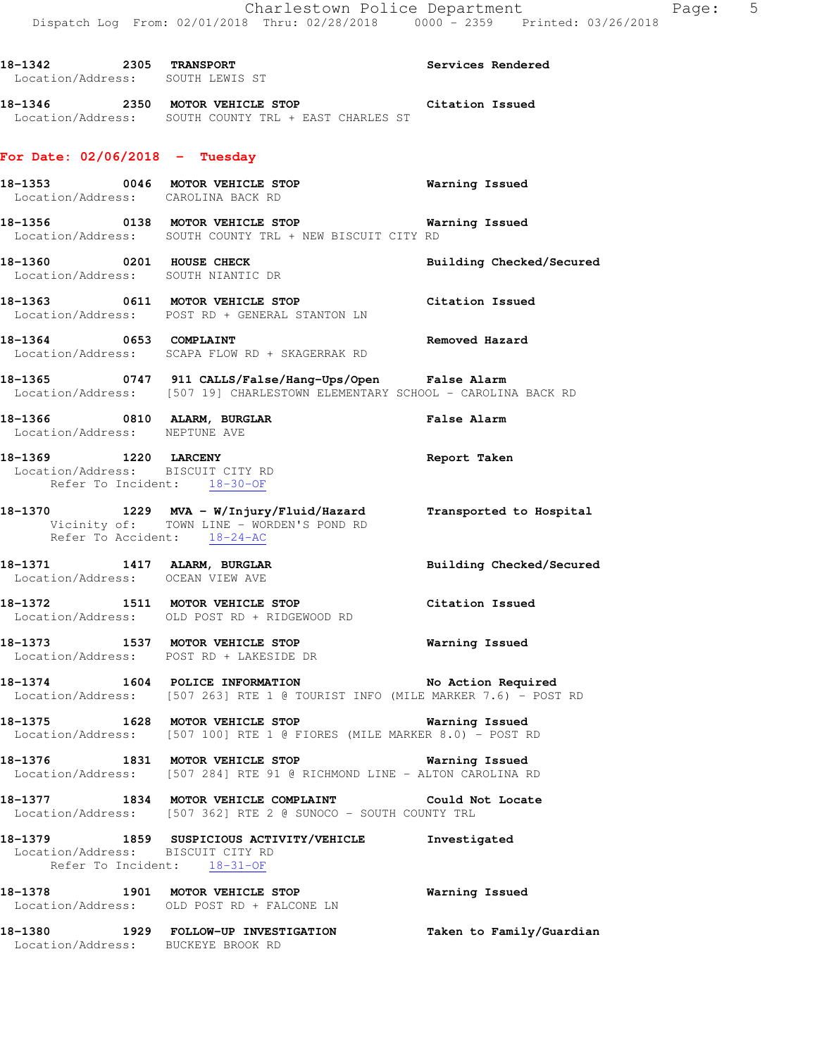| 18–1342<br>2305<br>Location/Address: |       | <b>TRANSPORT</b><br>SOUTH LEWIS ST | <b>Services Rendered</b> |
|--------------------------------------|-------|------------------------------------|--------------------------|
| 18-1346                              | 2350. | MOTOR VEHICLE STOP                 | Citation Issued          |

# **For Date: 02/06/2018 - Tuesday**

Location/Address: SOUTH COUNTY TRL + EAST CHARLES ST

|                               | 18-1353 0046 MOTOR VEHICLE STOP<br>Location/Address: CAROLINA BACK RD                                                                        | <b>Warning Issued</b>    |
|-------------------------------|----------------------------------------------------------------------------------------------------------------------------------------------|--------------------------|
|                               | 18-1356 0138 MOTOR VEHICLE STOP 6 Warning Issued<br>Location/Address: SOUTH COUNTY TRL + NEW BISCUIT CITY RD                                 |                          |
|                               | 18-1360 0201 HOUSE CHECK<br>Location/Address: SOUTH NIANTIC DR                                                                               | Building Checked/Secured |
|                               | 18-1363 0611 MOTOR VEHICLE STOP Citation Issued<br>Location/Address: POST RD + GENERAL STANTON LN                                            |                          |
| 18-1364 0653 COMPLAINT        | Location/Address: SCAPA FLOW RD + SKAGERRAK RD                                                                                               | Removed Hazard           |
|                               | 18-1365 0747 911 CALLS/False/Hang-Ups/Open False Alarm<br>Location/Address: [507 19] CHARLESTOWN ELEMENTARY SCHOOL - CAROLINA BACK RD        |                          |
| Location/Address: NEPTUNE AVE | 18-1366 0810 ALARM, BURGLAR                                                                                                                  | <b>False Alarm</b>       |
|                               | 18-1369 1220 LARCENY<br>Location/Address: BISCUIT CITY RD<br>Refer To Incident: 18-30-OF                                                     | Report Taken             |
|                               | 18-1370 1229 MVA - W/Injury/Fluid/Hazard Transported to Hospital<br>Vicinity of: TOWN LINE - WORDEN'S POND RD<br>Refer To Accident: 18-24-AC |                          |
|                               | 18-1371 1417 ALARM, BURGLAR<br>Location/Address: OCEAN VIEW AVE                                                                              | Building Checked/Secured |
|                               | 18-1372 1511 MOTOR VEHICLE STOP<br>Location/Address: OLD POST RD + RIDGEWOOD RD                                                              | Citation Issued          |
|                               | 18-1373 1537 MOTOR VEHICLE STOP<br>Location/Address: POST RD + LAKESIDE DR                                                                   | <b>Warning Issued</b>    |
|                               | 18-1374 1604 POLICE INFORMATION<br>Location/Address: [507 263] RTE 1 @ TOURIST INFO (MILE MARKER 7.6) - POST RD                              | No Action Required       |
|                               | 18-1375 1628 MOTOR VEHICLE STOP 5 Warning Issued<br>Location/Address: [507 100] RTE 1 @ FIORES (MILE MARKER 8.0) - POST RD                   |                          |
|                               | 18-1376 1831 MOTOR VEHICLE STOP 6 Warning Issued<br>Location/Address: [507 284] RTE 91 @ RICHMOND LINE - ALTON CAROLINA RD                   |                          |
| 18–1377                       | 1834 MOTOR VEHICLE COMPLAINT<br>Location/Address: [507 362] RTE 2 @ SUNOCO - SOUTH COUNTY TRL                                                | Could Not Locate         |
|                               | 18-1379 1859 SUSPICIOUS ACTIVITY/VEHICLE<br>Location/Address: BISCUIT CITY RD<br>Refer To Incident: 18-31-OF                                 | Investigated             |
| 18–1378                       | 1901 MOTOR VEHICLE STOP<br>Location/Address: OLD POST RD + FALCONE LN                                                                        | Warning Issued           |
| 18-1380                       | 1929 FOLLOW-UP INVESTIGATION<br>Location/Address: BUCKEYE BROOK RD                                                                           | Taken to Family/Guardian |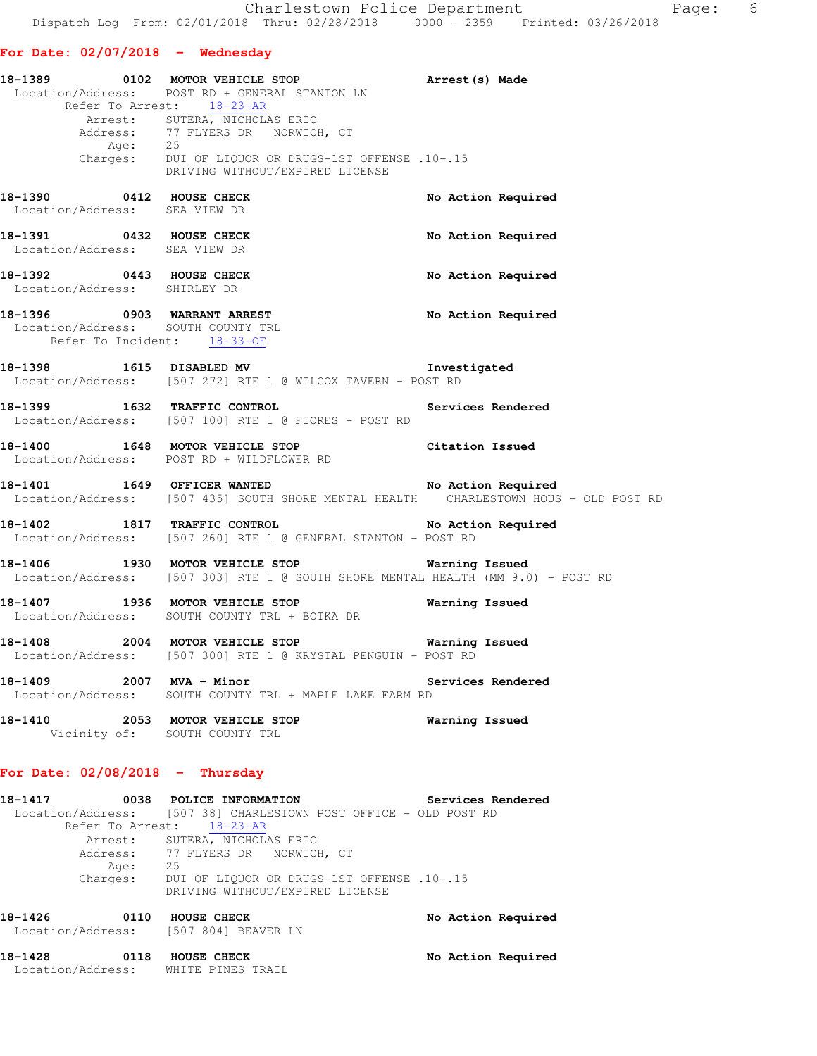## **For Date: 02/07/2018 - Wednesday**

|                                                                                                  | 18-1389 0102 MOTOR VEHICLE STOP                                                                                                                                                                                                                        |                    |
|--------------------------------------------------------------------------------------------------|--------------------------------------------------------------------------------------------------------------------------------------------------------------------------------------------------------------------------------------------------------|--------------------|
|                                                                                                  | Location/Address: POST RD + GENERAL STANTON LN<br>Refer To Arrest: 18-23-AR<br>Arrest: SUTERA, NICHOLAS ERIC<br>Address: 77 FLYERS DR NORWICH, CT<br>Age: 25<br>Charges: DUI OF LIQUOR OR DRUGS-1ST OFFENSE .10-.15<br>DRIVING WITHOUT/EXPIRED LICENSE | Arrest(s) Made     |
| $18-1390$ 0412 HOUSE CHECK<br>Location/Address: SEA VIEW DR                                      |                                                                                                                                                                                                                                                        | No Action Required |
| 18-1391 0432 HOUSE CHECK<br>Location/Address: SEA VIEW DR                                        |                                                                                                                                                                                                                                                        | No Action Required |
| 18-1392 0443 HOUSE CHECK<br>Location/Address: SHIRLEY DR                                         |                                                                                                                                                                                                                                                        | No Action Required |
| 18-1396 0903 WARRANT ARREST<br>Location/Address: SOUTH COUNTY TRL<br>Refer To Incident: 18-33-OF |                                                                                                                                                                                                                                                        | No Action Required |
|                                                                                                  | 18-1398 1615 DISABLED MV<br>Location/Address: [507 272] RTE 1 @ WILCOX TAVERN - POST RD                                                                                                                                                                | Investigated       |
| 18-1399 1632 TRAFFIC CONTROL                                                                     | Location/Address: [507 100] RTE 1 @ FIORES - POST RD                                                                                                                                                                                                   | Services Rendered  |
|                                                                                                  | 18-1400 1648 MOTOR VEHICLE STOP<br>Location/Address: POST RD + WILDFLOWER RD                                                                                                                                                                           | Citation Issued    |
|                                                                                                  | 18-1401 1649 OFFICER WANTED No Action Required<br>Location/Address: [507 435] SOUTH SHORE MENTAL HEALTH CHARLESTOWN HOUS - OLD POST RD                                                                                                                 |                    |
|                                                                                                  | 18-1402 1817 TRAFFIC CONTROL No Action Required<br>Location/Address: [507 260] RTE 1 @ GENERAL STANTON - POST RD                                                                                                                                       |                    |
|                                                                                                  | 18-1406 1930 MOTOR VEHICLE STOP 6 Warning Issued<br>Location/Address: [507 303] RTE 1 @ SOUTH SHORE MENTAL HEALTH (MM 9.0) - POST RD                                                                                                                   |                    |
|                                                                                                  | 18-1407 1936 MOTOR VEHICLE STOP<br>Location/Address: SOUTH COUNTY TRL + BOTKA DR                                                                                                                                                                       | Warning Issued     |
|                                                                                                  | 18-1408 2004 MOTOR VEHICLE STOP<br>Location/Address: [507 300] RTE 1 @ KRYSTAL PENGUIN - POST RD                                                                                                                                                       | Warning Issued     |
| 18-1409 2007 MVA - Minor                                                                         | Location/Address: SOUTH COUNTY TRL + MAPLE LAKE FARM RD                                                                                                                                                                                                | Services Rendered  |
|                                                                                                  | 18-1410  2053 MOTOR VEHICLE STOP    Varning Issued<br>Vicinity of: SOUTH COUNTY TRL                                                                                                                                                                    |                    |

## **For Date: 02/08/2018 - Thursday**

| 18-1417                               |      | 0038 POLICE INFORMATION<br>Services Rendered                                  |  |
|---------------------------------------|------|-------------------------------------------------------------------------------|--|
|                                       |      | Location/Address: [507 38] CHARLESTOWN POST OFFICE - OLD POST RD              |  |
|                                       |      | Refer To Arrest: 18-23-AR                                                     |  |
|                                       |      | Arrest: SUTERA, NICHOLAS ERIC                                                 |  |
|                                       |      | Address: 77 FLYERS DR NORWICH, CT                                             |  |
| Age:                                  | 25   |                                                                               |  |
| Charges:                              |      | DUI OF LIOUOR OR DRUGS-1ST OFFENSE .10-.15<br>DRIVING WITHOUT/EXPIRED LICENSE |  |
| 18-1426                               | 0110 | <b>HOUSE CHECK</b><br>No Action Required                                      |  |
| Location/Address: [507 804] BEAVER LN |      |                                                                               |  |

18-1428 **0118 HOUSE CHECK** No Action Required Location/Address: WHITE PINES TRAIL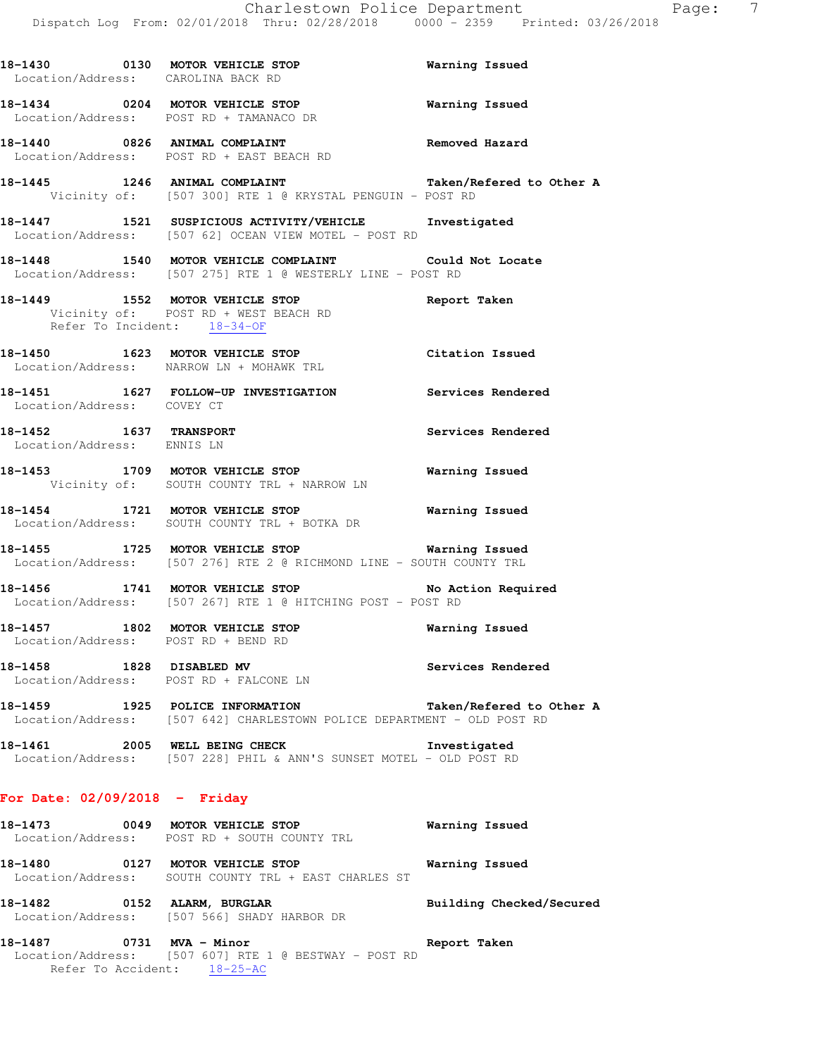| 18-1430 0130 MOTOR VEHICLE STOP<br>Location/Address: CAROLINA BACK RD |                                                                                                                          | Warning Issued           |
|-----------------------------------------------------------------------|--------------------------------------------------------------------------------------------------------------------------|--------------------------|
|                                                                       | 18-1434 0204 MOTOR VEHICLE STOP<br>Location/Address: POST RD + TAMANACO DR                                               | <b>Warning Issued</b>    |
|                                                                       | 18-1440 0826 ANIMAL COMPLAINT COMERCE Removed Hazard<br>Location/Address: POST RD + EAST BEACH RD                        |                          |
|                                                                       | 18-1445 1246 ANIMAL COMPLAINT<br>Vicinity of: [507 300] RTE 1 @ KRYSTAL PENGUIN - POST RD                                | Taken/Refered to Other A |
|                                                                       | 18-1447 1521 SUSPICIOUS ACTIVITY/VEHICLE 1nvestigated<br>Location/Address: [507 62] OCEAN VIEW MOTEL - POST RD           |                          |
|                                                                       | 18-1448 1540 MOTOR VEHICLE COMPLAINT Could Not Locate<br>Location/Address: [507 275] RTE 1 @ WESTERLY LINE - POST RD     |                          |
| Refer To Incident: 18-34-OF                                           | 18-1449 1552 MOTOR VEHICLE STOP<br>Vicinity of: POST RD + WEST BEACH RD                                                  | Report Taken             |
|                                                                       | 18-1450 1623 MOTOR VEHICLE STOP Citation Issued<br>Location/Address: NARROW LN + MOHAWK TRL                              |                          |
| Location/Address: COVEY CT                                            | 18-1451  1627  FOLLOW-UP INVESTIGATION  Services Rendered                                                                |                          |
| 18-1452 1637 TRANSPORT<br>Location/Address: ENNIS LN                  |                                                                                                                          | Services Rendered        |
|                                                                       | 18-1453 1709 MOTOR VEHICLE STOP<br>Vicinity of: SOUTH COUNTY TRL + NARROW LN                                             | <b>Warning Issued</b>    |
|                                                                       | 18-1454 1721 MOTOR VEHICLE STOP 18 Warning Issued<br>Location/Address: SOUTH COUNTY TRL + BOTKA DR                       |                          |
|                                                                       | 18-1455 1725 MOTOR VEHICLE STOP 6 Warning Issued<br>Location/Address: [507 276] RTE 2 @ RICHMOND LINE - SOUTH COUNTY TRL |                          |
|                                                                       | 18-1456 1741 MOTOR VEHICLE STOP No Action Required<br>Location/Address: [507 267] RTE 1 @ HITCHING POST - POST RD        |                          |
| Location/Address: POST RD + BEND RD                                   | 18-1457 1802 MOTOR VEHICLE STOP                                                                                          | Warning Issued           |

18-1458 1828 DISABLED MV **Services Rendered** Location/Address: POST RD + FALCONE LN

**18-1459 1925 POLICE INFORMATION Taken/Refered to Other A**  Location/Address: [507 642] CHARLESTOWN POLICE DEPARTMENT - OLD POST RD

**18-1461 2005 WELL BEING CHECK Investigated**  Location/Address: [507 228] PHIL & ANN'S SUNSET MOTEL - OLD POST RD

## **For Date: 02/09/2018 - Friday**

| 18-1473 | 0049 | MOTOR VEHICLE STOP<br>Location/Address: POST RD + SOUTH COUNTY TRL         | Warning Issued |                          |
|---------|------|----------------------------------------------------------------------------|----------------|--------------------------|
| 18-1480 | 0127 | MOTOR VEHICLE STOP<br>Location/Address: SOUTH COUNTY TRL + EAST CHARLES ST | Warning Issued |                          |
| 18-1482 | 0152 | ALARM, BURGLAR<br>Location/Address: [507 566] SHADY HARBOR DR              |                | Building Checked/Secured |

**18-1487 0731 MVA - Minor Report Taken**  Location/Address: [507 607] RTE 1 @ BESTWAY - POST RD Refer To Accident: 18-25-AC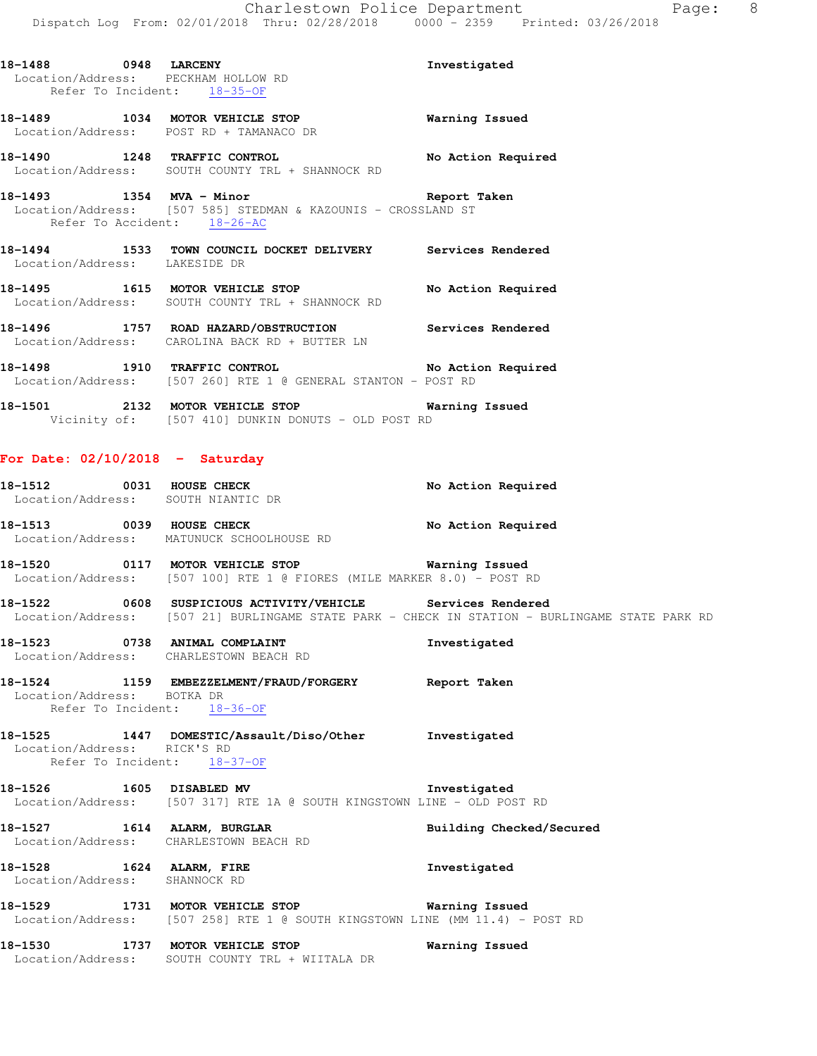Location/Address: PECKHAM HOLLOW RD Refer To Incident: 18-35-OF

**18-1489 1034 MOTOR VEHICLE STOP Warning Issued**  Location/Address: POST RD + TAMANACO DR

**18-1490 1248 TRAFFIC CONTROL No Action Required**  Location/Address: SOUTH COUNTY TRL + SHANNOCK RD

**18-1493 1354 MVA - Minor Report Taken**  Location/Address: [507 585] STEDMAN & KAZOUNIS - CROSSLAND ST Refer To Accident: 18-26-AC

**18-1494 1533 TOWN COUNCIL DOCKET DELIVERY Services Rendered**  Location/Address: LAKESIDE DR

18-1495 **1615 MOTOR VEHICLE STOP** No Action Required Location/Address: SOUTH COUNTY TRL + SHANNOCK RD

**18-1496 1757 ROAD HAZARD/OBSTRUCTION Services Rendered**  Location/Address: CAROLINA BACK RD + BUTTER LN

**18-1498 1910 TRAFFIC CONTROL No Action Required**  Location/Address: [507 260] RTE 1 @ GENERAL STANTON - POST RD

**18-1501 2132 MOTOR VEHICLE STOP Warning Issued**  Vicinity of: [507 410] DUNKIN DONUTS - OLD POST RD

### **For Date: 02/10/2018 - Saturday**

**18-1512 0031 HOUSE CHECK No Action Required**  Location/Address: SOUTH NIANTIC DR **18-1513 0039 HOUSE CHECK No Action Required** 

 Location/Address: MATUNUCK SCHOOLHOUSE RD **18-1520 0117 MOTOR VEHICLE STOP Warning Issued** 

Location/Address: [507 100] RTE 1 @ FIORES (MILE MARKER 8.0) - POST RD

**18-1522 0608 SUSPICIOUS ACTIVITY/VEHICLE Services Rendered**  Location/Address: [507 21] BURLINGAME STATE PARK - CHECK IN STATION - BURLINGAME STATE PARK RD

**18-1523 0738 ANIMAL COMPLAINT Investigated**  Location/Address: CHARLESTOWN BEACH RD

**18-1524 1159 EMBEZZELMENT/FRAUD/FORGERY Report Taken**  Location/Address: BOTKA DR Refer To Incident: 18-36-OF

#### **18-1525 1447 DOMESTIC/Assault/Diso/Other Investigated**  Location/Address: RICK'S RD Refer To Incident: 18-37-OF

**18-1526 1605 DISABLED MV Investigated**  Location/Address: [507 317] RTE 1A @ SOUTH KINGSTOWN LINE - OLD POST RD

**18-1527 1614 ALARM, BURGLAR Building Checked/Secured**  Location/Address: CHARLESTOWN BEACH RD

**18-1528 1624 ALARM, FIRE Investigated**  Location/Address: SHANNOCK RD

**18-1529 1731 MOTOR VEHICLE STOP Warning Issued**  Location/Address: [507 258] RTE 1 @ SOUTH KINGSTOWN LINE (MM 11.4) - POST RD

**18-1530 1737 MOTOR VEHICLE STOP Warning Issued**  Location/Address: SOUTH COUNTY TRL + WIITALA DR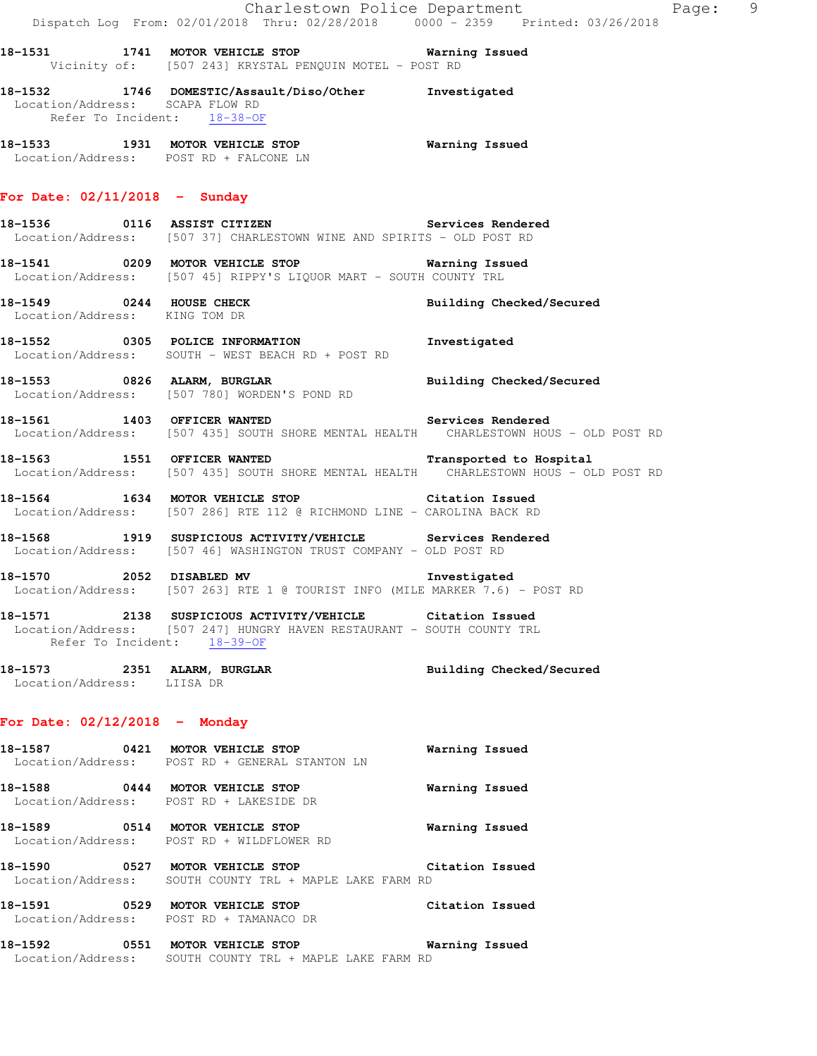|                                                                | Dispatch Log From: 02/01/2018 Thru: 02/28/2018   0000 - 2359   Printed: 03/26/2018                                                                                | Charlestown Police Department<br>Page: 9 |
|----------------------------------------------------------------|-------------------------------------------------------------------------------------------------------------------------------------------------------------------|------------------------------------------|
|                                                                | 18-1531 1741 MOTOR VEHICLE STOP 60 Warning Issued<br>Vicinity of: [507 243] KRYSTAL PENQUIN MOTEL - POST RD                                                       |                                          |
| Location/Address: SCAPA FLOW RD<br>Refer To Incident: 18-38-OF | 18-1532 1746 DOMESTIC/Assault/Diso/Other Investigated                                                                                                             |                                          |
|                                                                | 18-1533 1931 MOTOR VEHICLE STOP Warning Issued<br>Location/Address: POST RD + FALCONE LN                                                                          |                                          |
| For Date: $02/11/2018$ - Sunday                                |                                                                                                                                                                   |                                          |
|                                                                | Location/Address: [507 37] CHARLESTOWN WINE AND SPIRITS - OLD POST RD                                                                                             |                                          |
|                                                                | 18-1541 0209 MOTOR VEHICLE STOP 6 Warning Issued<br>Location/Address: [507 45] RIPPY'S LIQUOR MART - SOUTH COUNTY TRL                                             |                                          |
|                                                                | 18-1549 0244 HOUSE CHECK<br>Location/Address: KING TOM DR                                                                                                         | Building Checked/Secured                 |
|                                                                | 18-1552 0305 POLICE INFORMATION 1nvestigated<br>Location/Address: SOUTH - WEST BEACH RD + POST RD                                                                 |                                          |
|                                                                | 18-1553 0826 ALARM, BURGLAR BURGER Building Checked/Secured<br>Location/Address: [507 780] WORDEN'S POND RD                                                       |                                          |
|                                                                | 18-1561 1403 OFFICER WANTED Services Rendered<br>Location/Address: [507 435] SOUTH SHORE MENTAL HEALTH CHARLESTOWN HOUS - OLD POST RD                             |                                          |
| 18-1563 1551 OFFICER WANTED                                    | Location/Address: [507 435] SOUTH SHORE MENTAL HEALTH CHARLESTOWN HOUS - OLD POST RD                                                                              | Transported to Hospital                  |
|                                                                | 18-1564 1634 MOTOR VEHICLE STOP Citation Issued<br>Location/Address: [507 286] RTE 112 @ RICHMOND LINE - CAROLINA BACK RD                                         |                                          |
|                                                                | 18-1568 1919 SUSPICIOUS ACTIVITY/VEHICLE Services Rendered<br>Location/Address: [507 46] WASHINGTON TRUST COMPANY - OLD POST RD                                   |                                          |
|                                                                | 18-1570 2052 DISABLED MV<br>Location/Address: [507 263] RTE 1 @ TOURIST INFO (MILE MARKER 7.6) - POST RD                                                          | Investigated                             |
|                                                                | 18-1571 2138 SUSPICIOUS ACTIVITY/VEHICLE Citation Issued<br>Location/Address: [507 247] HUNGRY HAVEN RESTAURANT - SOUTH COUNTY TRL<br>Refer To Incident: 18-39-OF |                                          |
| Location/Address: LIISA DR                                     | 18-1573 2351 ALARM, BURGLAR                                                                                                                                       | Building Checked/Secured                 |
| For Date: $02/12/2018$ - Monday                                |                                                                                                                                                                   |                                          |
|                                                                | 18-1587 0421 MOTOR VEHICLE STOP<br>Location/Address: POST RD + GENERAL STANTON LN                                                                                 | Warning Issued                           |
|                                                                | 18-1588 0444 MOTOR VEHICLE STOP<br>Location/Address: POST RD + LAKESIDE DR                                                                                        | Warning Issued                           |
|                                                                | 18-1589 0514 MOTOR VEHICLE STOP<br>Location/Address: POST RD + WILDFLOWER RD                                                                                      | Warning Issued                           |
|                                                                | 18-1590 0527 MOTOR VEHICLE STOP Citation Issued<br>Location/Address: SOUTH COUNTY TRL + MAPLE LAKE FARM RD                                                        |                                          |
|                                                                | 18-1591 0529 MOTOR VEHICLE STOP<br>Location/Address: POST RD + TAMANACO DR                                                                                        | Citation Issued                          |
|                                                                | 18-1592 0551 MOTOR VEHICLE STOP<br>Location/Address: SOUTH COUNTY TRL + MAPLE LAKE FARM RD                                                                        | Warning Issued                           |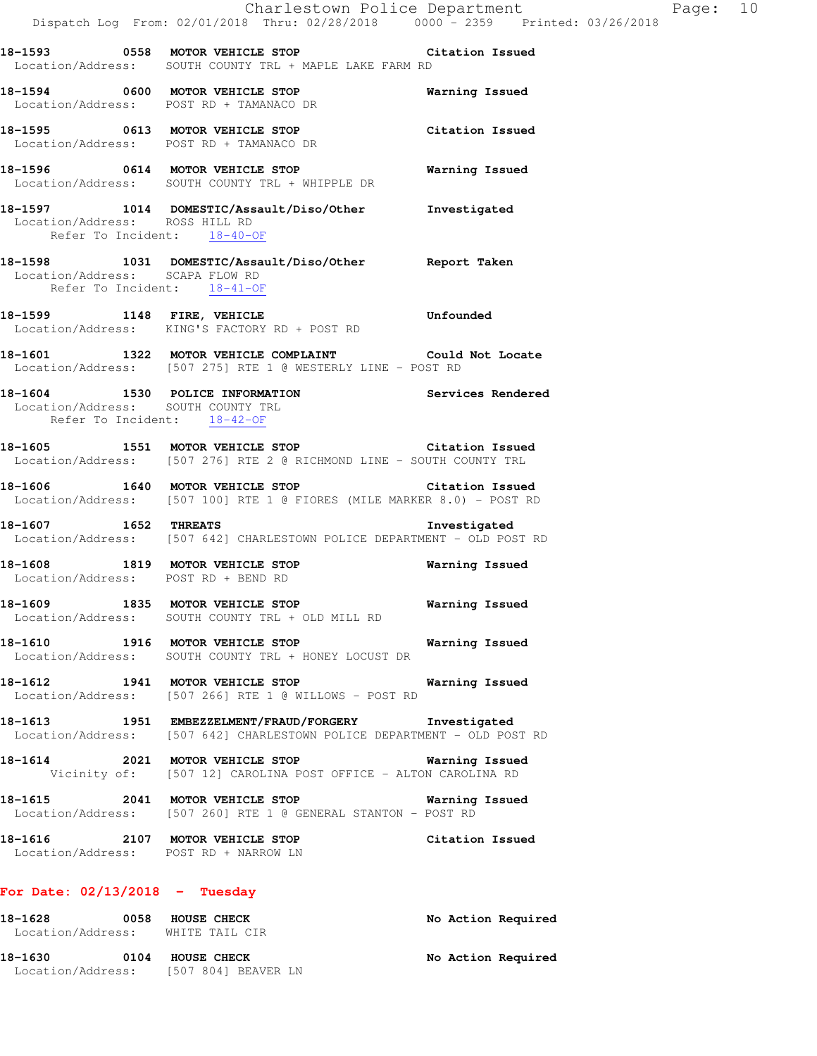**18-1593 0558 MOTOR VEHICLE STOP Citation Issued**  Location/Address: SOUTH COUNTY TRL + MAPLE LAKE FARM RD

**18-1594 0600 MOTOR VEHICLE STOP Warning Issued**  Location/Address: POST RD + TAMANACO DR

**18-1595 0613 MOTOR VEHICLE STOP Citation Issued**  Location/Address: POST RD + TAMANACO DR

**18-1596 0614 MOTOR VEHICLE STOP Warning Issued**  Location/Address: SOUTH COUNTY TRL + WHIPPLE DR

**18-1597 1014 DOMESTIC/Assault/Diso/Other Investigated**  Location/Address: ROSS HILL RD Refer To Incident: 18-40-OF

**18-1598 1031 DOMESTIC/Assault/Diso/Other Report Taken**  Location/Address: SCAPA FLOW RD Refer To Incident: 18-41-OF

18-1599 1148 FIRE, VEHICLE **18-1599** Unfounded Location/Address: KING'S FACTORY RD + POST RD

**18-1601 1322 MOTOR VEHICLE COMPLAINT Could Not Locate**  Location/Address: [507 275] RTE 1 @ WESTERLY LINE - POST RD

**18-1604 1530 POLICE INFORMATION Services Rendered**  Location/Address: SOUTH COUNTY TRL Refer To Incident: 18-42-OF

**18-1605 1551 MOTOR VEHICLE STOP Citation Issued**  Location/Address: [507 276] RTE 2 @ RICHMOND LINE - SOUTH COUNTY TRL

**18-1606 1640 MOTOR VEHICLE STOP Citation Issued**  Location/Address: [507 100] RTE 1 @ FIORES (MILE MARKER 8.0) - POST RD

**18-1607 1652 THREATS Investigated**  Location/Address: [507 642] CHARLESTOWN POLICE DEPARTMENT - OLD POST RD

**18-1608 1819 MOTOR VEHICLE STOP Warning Issued**  Location/Address: POST RD + BEND RD

**18-1609 1835 MOTOR VEHICLE STOP Warning Issued**  Location/Address: SOUTH COUNTY TRL + OLD MILL RD

**18-1610 1916 MOTOR VEHICLE STOP Warning Issued**  Location/Address: SOUTH COUNTY TRL + HONEY LOCUST DR

**18-1612 1941 MOTOR VEHICLE STOP Warning Issued**  Location/Address: [507 266] RTE 1 @ WILLOWS - POST RD

**18-1613 1951 EMBEZZELMENT/FRAUD/FORGERY Investigated**  Location/Address: [507 642] CHARLESTOWN POLICE DEPARTMENT - OLD POST RD

**18-1614 2021 MOTOR VEHICLE STOP Warning Issued**  Vicinity of: [507 12] CAROLINA POST OFFICE - ALTON CAROLINA RD

**18-1615 2041 MOTOR VEHICLE STOP Warning Issued**  Location/Address: [507 260] RTE 1 @ GENERAL STANTON - POST RD

**18-1616 2107 MOTOR VEHICLE STOP Citation Issued**  Location/Address: POST RD + NARROW LN

### **For Date: 02/13/2018 - Tuesday**

| 18-1628<br>Location/Address: | 0058 | <b>HOUSE CHECK</b><br>WHITE TAIL CIR                        | No Action Required |
|------------------------------|------|-------------------------------------------------------------|--------------------|
| 18-1630                      | 0104 | <b>HOUSE CHECK</b><br>Location/Address: [507 804] BEAVER LN | No Action Required |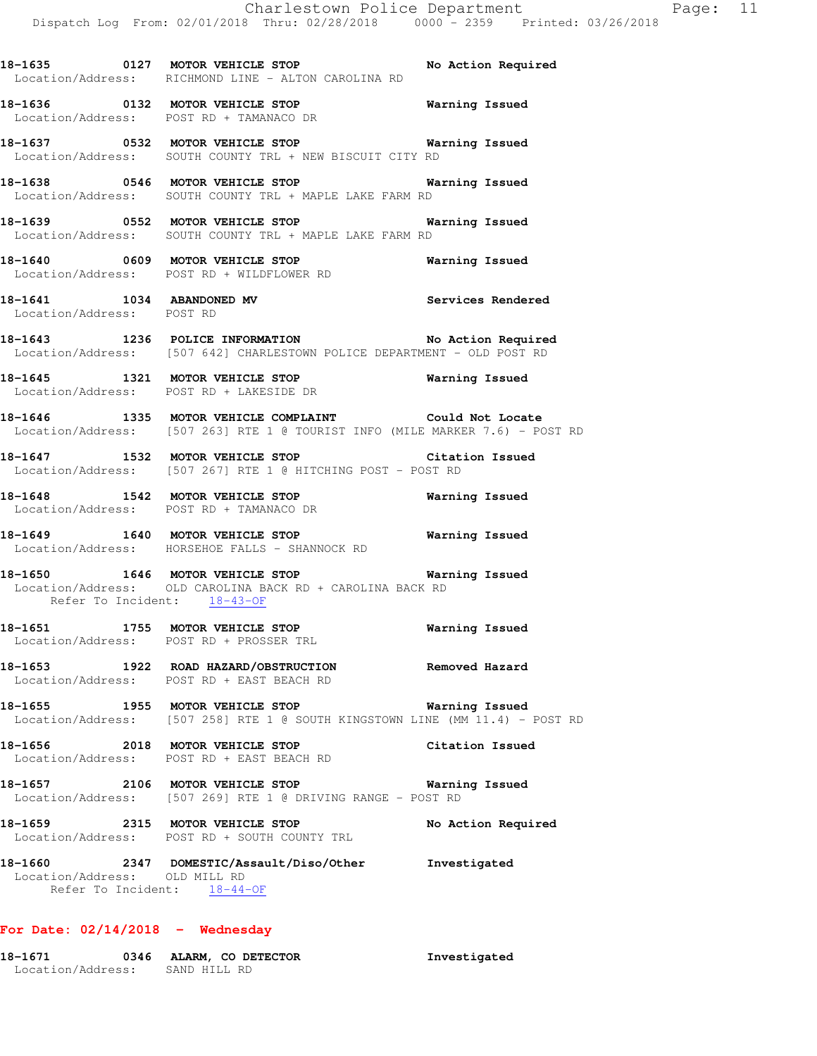**18-1635 0127 MOTOR VEHICLE STOP No Action Required**  Location/Address: RICHMOND LINE - ALTON CAROLINA RD **18-1636 0132 MOTOR VEHICLE STOP Warning Issued**  Location/Address: POST RD + TAMANACO DR **18-1637 0532 MOTOR VEHICLE STOP Warning Issued**  Location/Address: SOUTH COUNTY TRL + NEW BISCUIT CITY RD **18-1638 0546 MOTOR VEHICLE STOP Warning Issued**  Location/Address: SOUTH COUNTY TRL + MAPLE LAKE FARM RD **18-1639 0552 MOTOR VEHICLE STOP Warning Issued**  Location/Address: SOUTH COUNTY TRL + MAPLE LAKE FARM RD **18-1640 0609 MOTOR VEHICLE STOP Warning Issued**  Location/Address: POST RD + WILDFLOWER RD **18-1641 1034 ABANDONED MV Services Rendered**  Location/Address: POST RD **18-1643 1236 POLICE INFORMATION No Action Required**  Location/Address: [507 642] CHARLESTOWN POLICE DEPARTMENT - OLD POST RD **18-1645 1321 MOTOR VEHICLE STOP Warning Issued**  Location/Address: POST RD + LAKESIDE DR

**18-1646 1335 MOTOR VEHICLE COMPLAINT Could Not Locate**  Location/Address: [507 263] RTE 1 @ TOURIST INFO (MILE MARKER 7.6) - POST RD

**18-1647 1532 MOTOR VEHICLE STOP Citation Issued**  Location/Address: [507 267] RTE 1 @ HITCHING POST - POST RD

**18-1648 1542 MOTOR VEHICLE STOP Warning Issued**  Location/Address: POST RD + TAMANACO DR

**18-1649 1640 MOTOR VEHICLE STOP Warning Issued**  Location/Address: HORSEHOE FALLS - SHANNOCK RD

**18-1650 1646 MOTOR VEHICLE STOP Warning Issued**  Location/Address: OLD CAROLINA BACK RD + CAROLINA BACK RD Refer To Incident: 18-43-OF

**18-1651 1755 MOTOR VEHICLE STOP Warning Issued**  Location/Address: POST RD + PROSSER TRL

**18-1653 1922 ROAD HAZARD/OBSTRUCTION Removed Hazard**  Location/Address: POST RD + EAST BEACH RD

**18-1655 1955 MOTOR VEHICLE STOP Warning Issued**  Location/Address: [507 258] RTE 1 @ SOUTH KINGSTOWN LINE (MM 11.4) - POST RD

**18-1656 2018 MOTOR VEHICLE STOP Citation Issued**  Location/Address: POST RD + EAST BEACH RD

**18-1657 2106 MOTOR VEHICLE STOP Warning Issued**  Location/Address: [507 269] RTE 1 @ DRIVING RANGE - POST RD

18-1659 2315 MOTOR VEHICLE STOP No Action Required Location/Address: POST RD + SOUTH COUNTY TRL

**18-1660 2347 DOMESTIC/Assault/Diso/Other Investigated**  Location/Address: OLD MILL RD Refer To Incident: 18-44-OF

## **For Date: 02/14/2018 - Wednesday**

| 18-1671           | 0346 ALARM, CO DETECTOR | Investigated |
|-------------------|-------------------------|--------------|
| Location/Address: | SAND HILL RD            |              |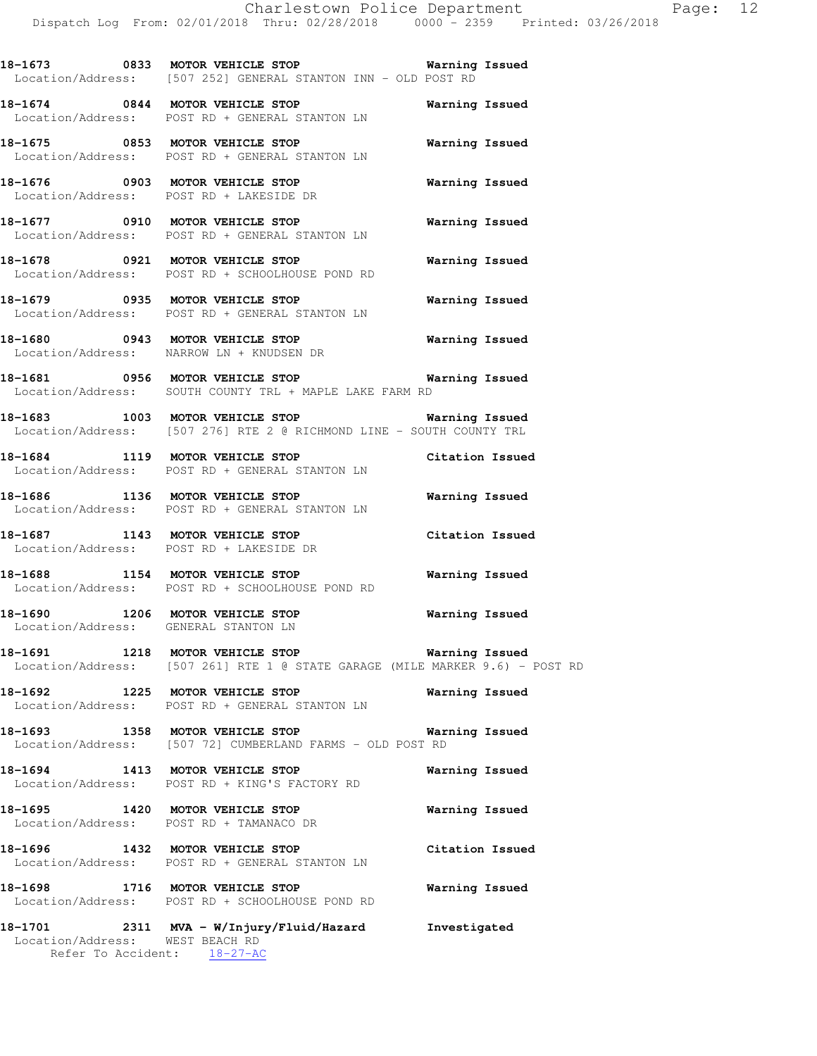**18-1673 0833 MOTOR VEHICLE STOP Warning Issued**  Location/Address: [507 252] GENERAL STANTON INN - OLD POST RD

**18-1674 0844 MOTOR VEHICLE STOP Warning Issued**  Location/Address: POST RD + GENERAL STANTON LN

**18-1675 0853 MOTOR VEHICLE STOP Warning Issued**  Location/Address: POST RD + GENERAL STANTON LN

**18-1676 0903 MOTOR VEHICLE STOP Warning Issued**  Location/Address: POST RD + LAKESIDE DR

**18-1677 0910 MOTOR VEHICLE STOP Warning Issued**  Location/Address: POST RD + GENERAL STANTON LN

**18-1678 0921 MOTOR VEHICLE STOP Warning Issued**  Location/Address: POST RD + SCHOOLHOUSE POND RD

**18-1679 0935 MOTOR VEHICLE STOP Warning Issued**  Location/Address: POST RD + GENERAL STANTON LN

**18-1680 0943 MOTOR VEHICLE STOP Warning Issued**  Location/Address: NARROW LN + KNUDSEN DR

**18-1681 0956 MOTOR VEHICLE STOP Warning Issued**  Location/Address: SOUTH COUNTY TRL + MAPLE LAKE FARM RD

**18-1683 1003 MOTOR VEHICLE STOP Warning Issued**  Location/Address: [507 276] RTE 2 @ RICHMOND LINE - SOUTH COUNTY TRL

**18-1684 1119 MOTOR VEHICLE STOP Citation Issued**  Location/Address: POST RD + GENERAL STANTON LN

**18-1686 1136 MOTOR VEHICLE STOP Warning Issued**  Location/Address: POST RD + GENERAL STANTON LN

**18-1687 1143 MOTOR VEHICLE STOP Citation Issued**  Location/Address: POST RD + LAKESIDE DR

**18-1688 1154 MOTOR VEHICLE STOP Warning Issued**  Location/Address: POST RD + SCHOOLHOUSE POND RD

**18-1690 1206 MOTOR VEHICLE STOP Warning Issued**  Location/Address: GENERAL STANTON LN

**18-1691 1218 MOTOR VEHICLE STOP Warning Issued**  Location/Address: [507 261] RTE 1 @ STATE GARAGE (MILE MARKER 9.6) - POST RD

**18-1692 1225 MOTOR VEHICLE STOP Warning Issued**  Location/Address: POST RD + GENERAL STANTON LN

**18-1693 1358 MOTOR VEHICLE STOP Warning Issued**  Location/Address: [507 72] CUMBERLAND FARMS - OLD POST RD

**18-1694 1413 MOTOR VEHICLE STOP Warning Issued**  Location/Address: POST RD + KING'S FACTORY RD

**18-1695 1420 MOTOR VEHICLE STOP Warning Issued**  Location/Address: POST RD + TAMANACO DR

**18-1696 1432 MOTOR VEHICLE STOP Citation Issued**  Location/Address: POST RD + GENERAL STANTON LN

**18-1698 1716 MOTOR VEHICLE STOP Warning Issued**  Location/Address: POST RD + SCHOOLHOUSE POND RD

**18-1701 2311 MVA - W/Injury/Fluid/Hazard Investigated**  Location/Address: WEST BEACH RD Refer To Accident: 18-27-AC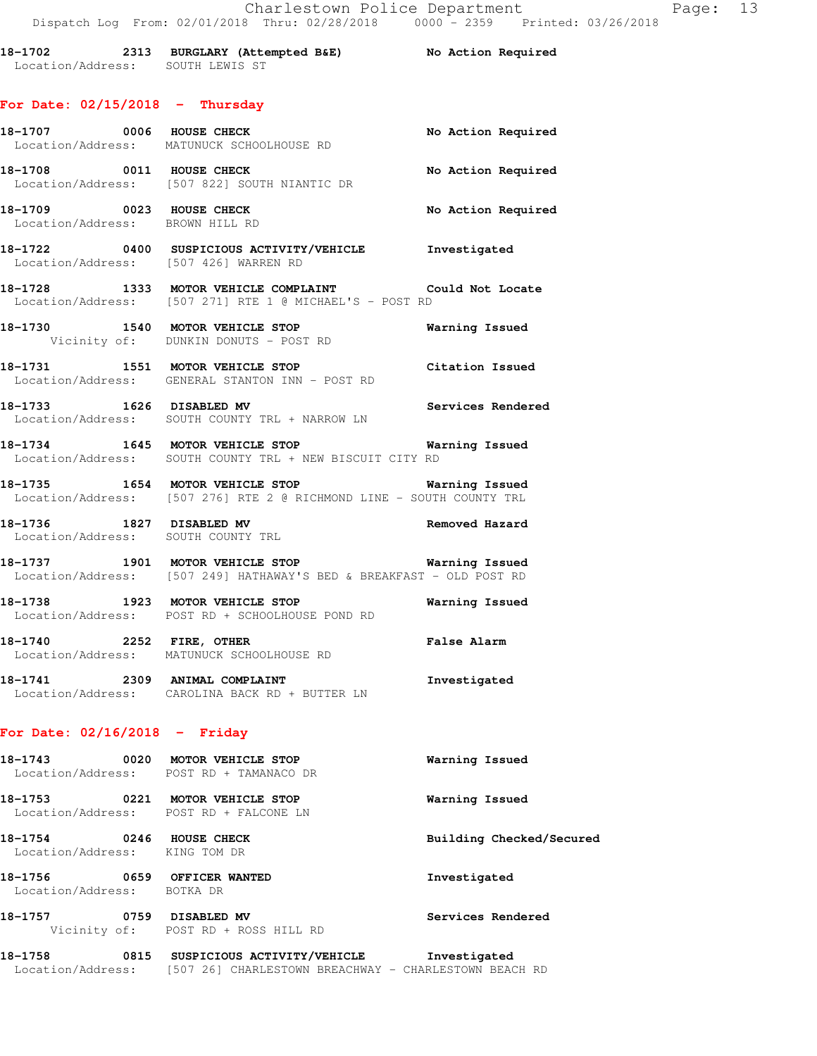| 18-1702           | 2313 BURGLARY (Attempted B&E) | No Action Required |
|-------------------|-------------------------------|--------------------|
| Location/Address: | SOUTH LEWIS ST                |                    |

## **For Date: 02/15/2018 - Thursday**

|                                                                           | 18-1707 0006 HOUSE CHECK<br>Location/Address: MATUNUCK SCHOOLHOUSE RD                                                       | No Action Required       |
|---------------------------------------------------------------------------|-----------------------------------------------------------------------------------------------------------------------------|--------------------------|
| 18-1708 0011 HOUSE CHECK                                                  | Location/Address: [507 822] SOUTH NIANTIC DR                                                                                | No Action Required       |
| 18-1709 0023 HOUSE CHECK<br>Location/Address: BROWN HILL RD               |                                                                                                                             | No Action Required       |
| Location/Address: [507 426] WARREN RD                                     | 18-1722 0400 SUSPICIOUS ACTIVITY/VEHICLE 1nvestigated                                                                       |                          |
|                                                                           | 18-1728 1333 MOTOR VEHICLE COMPLAINT Could Not Locate<br>Location/Address: [507 271] RTE 1 @ MICHAEL'S - POST RD            |                          |
|                                                                           | 18-1730 1540 MOTOR VEHICLE STOP<br>Vicinity of: DUNKIN DONUTS - POST RD                                                     | <b>Warning Issued</b>    |
|                                                                           | 18-1731 1551 MOTOR VEHICLE STOP<br>Location/Address: GENERAL STANTON INN - POST RD                                          | Citation Issued          |
|                                                                           | 18-1733 1626 DISABLED MV<br>Location/Address: SOUTH COUNTY TRL + NARROW LN                                                  | Services Rendered        |
|                                                                           | 18-1734 1645 MOTOR VEHICLE STOP Warning Issued<br>Location/Address: SOUTH COUNTY TRL + NEW BISCUIT CITY RD                  |                          |
|                                                                           | 18-1735 1654 MOTOR VEHICLE STOP 5 Warning Issued<br>Location/Address: [507 276] RTE 2 @ RICHMOND LINE - SOUTH COUNTY TRL    |                          |
| 18-1736 1827 DISABLED MV                                                  | Location/Address: SOUTH COUNTY TRL                                                                                          | Removed Hazard           |
|                                                                           | 18-1737 1901 MOTOR VEHICLE STOP 1991 Warning Issued<br>Location/Address: [507 249] HATHAWAY'S BED & BREAKFAST - OLD POST RD |                          |
|                                                                           | 18-1738 1923 MOTOR VEHICLE STOP 1977 Warning Issued<br>Location/Address: POST RD + SCHOOLHOUSE POND RD                      |                          |
|                                                                           | 18-1740 <b>2252 FIRE, OTHER</b><br>Location/Address: MATUNUCK SCHOOLHOUSE RD                                                | <b>False Alarm</b>       |
|                                                                           | 18-1741 2309 ANIMAL COMPLAINT<br>Location/Address: CAROLINA BACK RD + BUTTER LN                                             | Investigated             |
| For Date: $02/16/2018$ - Friday                                           |                                                                                                                             |                          |
| 18-1743                                                                   | 0020 MOTOR VEHICLE STOP<br>Location/Address: POST RD + TAMANACO DR                                                          | Warning Issued           |
| 18-1753 0221 MOTOR VEHICLE STOP<br>Location/Address: POST RD + FALCONE LN |                                                                                                                             | Warning Issued           |
| 18-1754 0246 HOUSE CHECK<br>Location/Address: KING TOM DR                 |                                                                                                                             | Building Checked/Secured |
| 18-1756 0659 OFFICER WANTED<br>Location/Address: BOTKA DR                 |                                                                                                                             | Investigated             |
| 18-1757 0759 DISABLED MV                                                  | Vicinity of: POST RD + ROSS HILL RD                                                                                         | Services Rendered        |

**18-1758 0815 SUSPICIOUS ACTIVITY/VEHICLE Investigated**  Location/Address: [507 26] CHARLESTOWN BREACHWAY - CHARLESTOWN BEACH RD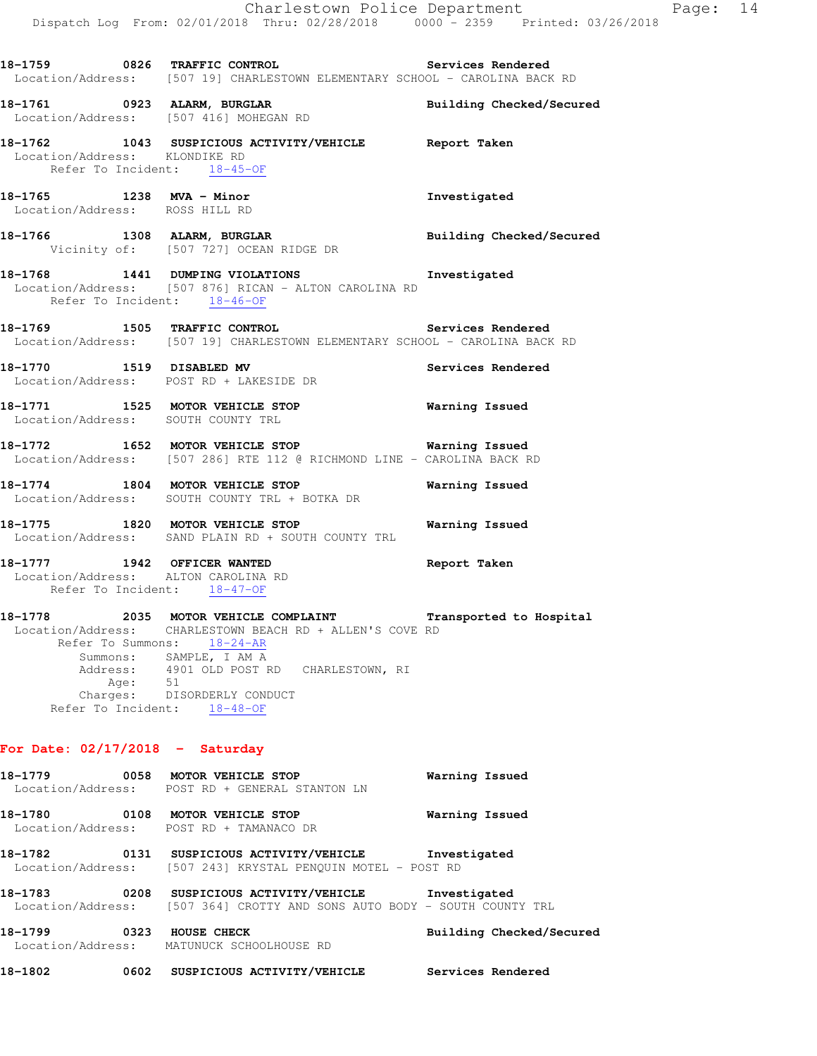**18-1759 0826 TRAFFIC CONTROL Services Rendered**  Location/Address: [507 19] CHARLESTOWN ELEMENTARY SCHOOL - CAROLINA BACK RD **18-1761 0923 ALARM, BURGLAR Building Checked/Secured**  Location/Address: [507 416] MOHEGAN RD **18-1762 1043 SUSPICIOUS ACTIVITY/VEHICLE Report Taken**  Location/Address: KLONDIKE RD Refer To Incident: 18-45-OF **18-1765 1238 MVA - Minor Investigated**  Location/Address: ROSS HILL RD **18-1766 1308 ALARM, BURGLAR Building Checked/Secured**  Vicinity of: [507 727] OCEAN RIDGE DR **18-1768 1441 DUMPING VIOLATIONS Investigated**  Location/Address: [507 876] RICAN - ALTON CAROLINA RD Refer To Incident: 18-46-OF **18-1769 1505 TRAFFIC CONTROL Services Rendered**  Location/Address: [507 19] CHARLESTOWN ELEMENTARY SCHOOL - CAROLINA BACK RD **18-1770 1519 DISABLED MV Services Rendered**  Location/Address: POST RD + LAKESIDE DR **18-1771 1525 MOTOR VEHICLE STOP Warning Issued**  Location/Address: SOUTH COUNTY TRL **18-1772 1652 MOTOR VEHICLE STOP Warning Issued**  Location/Address: [507 286] RTE 112 @ RICHMOND LINE - CAROLINA BACK RD **18-1774 1804 MOTOR VEHICLE STOP Warning Issued**  Location/Address: SOUTH COUNTY TRL + BOTKA DR **18-1775 1820 MOTOR VEHICLE STOP Warning Issued**  Location/Address: SAND PLAIN RD + SOUTH COUNTY TRL **18-1777 1942 OFFICER WANTED Report Taken**  Location/Address: ALTON CAROLINA RD Refer To Incident: 18-47-OF **18-1778 2035 MOTOR VEHICLE COMPLAINT Transported to Hospital**  Location/Address: CHARLESTOWN BEACH RD + ALLEN'S COVE RD Refer To Summons: 18-24-AR Summons: SAMPLE, I AM A<br>Address: 4901 OLD POST I 4901 OLD POST RD CHARLESTOWN, RI Age: 51 Charges: DISORDERLY CONDUCT Refer To Incident: 18-48-OF **For Date: 02/17/2018 - Saturday 18-1779 0058 MOTOR VEHICLE STOP Warning Issued**  Location/Address: POST RD + GENERAL STANTON LN **18-1780 0108 MOTOR VEHICLE STOP Warning Issued**  Location/Address: POST RD + TAMANACO DR **18-1782 0131 SUSPICIOUS ACTIVITY/VEHICLE Investigated**  Location/Address: [507 243] KRYSTAL PENQUIN MOTEL - POST RD **18-1783 0208 SUSPICIOUS ACTIVITY/VEHICLE Investigated**  Location/Address: [507 364] CROTTY AND SONS AUTO BODY - SOUTH COUNTY TRL **18-1799 0323 HOUSE CHECK Building Checked/Secured** 

**18-1802 0602 SUSPICIOUS ACTIVITY/VEHICLE Services Rendered** 

Location/Address: MATUNUCK SCHOOLHOUSE RD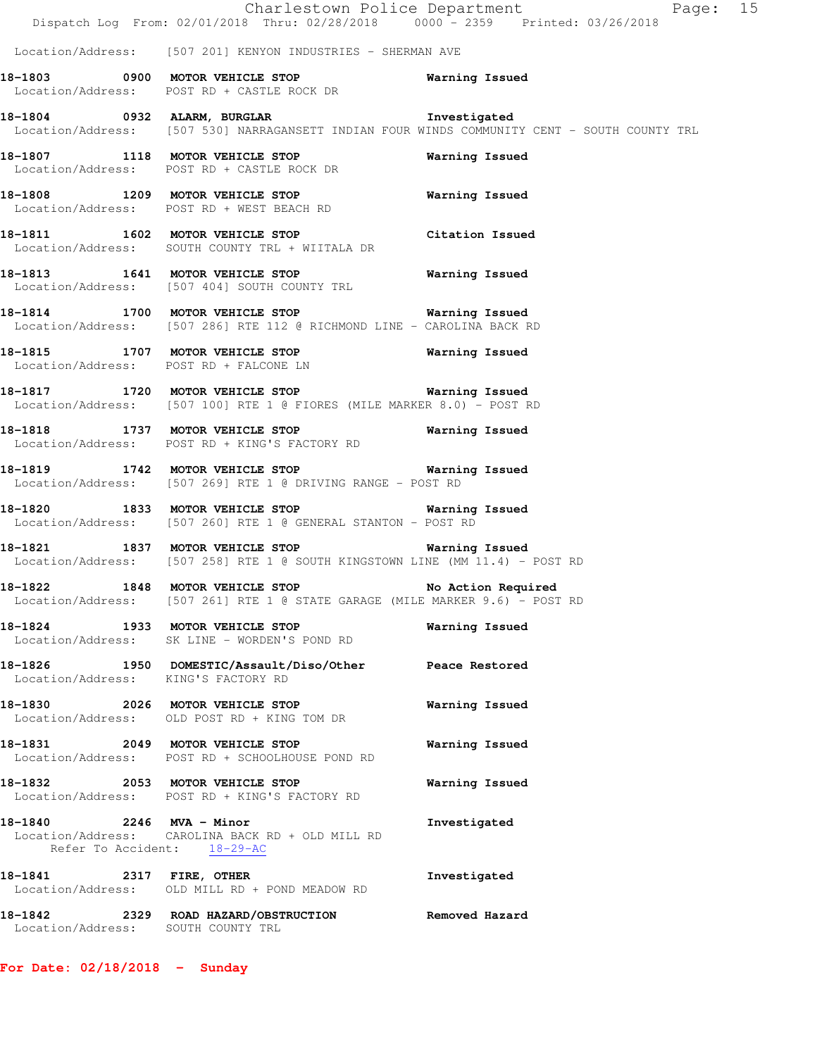|                                     |                                                                                                                                      | Charlestown Police Department Fage: 15<br>Dispatch Log From: 02/01/2018 Thru: 02/28/2018 0000 <sup>-</sup> 2359 Printed: 03/26/2018 |
|-------------------------------------|--------------------------------------------------------------------------------------------------------------------------------------|-------------------------------------------------------------------------------------------------------------------------------------|
|                                     | Location/Address: [507 201] KENYON INDUSTRIES - SHERMAN AVE                                                                          |                                                                                                                                     |
|                                     | 18-1803 0900 MOTOR VEHICLE STOP Warning Issued<br>Location/Address: POST RD + CASTLE ROCK DR                                         |                                                                                                                                     |
|                                     | 18-1804 0932 ALARM, BURGLAR 18-1804 Investigated                                                                                     | Location/Address: [507 530] NARRAGANSETT INDIAN FOUR WINDS COMMUNITY CENT - SOUTH COUNTY TRL                                        |
|                                     | 18-1807 1118 MOTOR VEHICLE STOP<br>Location/Address: POST RD + CASTLE ROCK DR                                                        | Warning Issued                                                                                                                      |
|                                     | 18-1808 1209 MOTOR VEHICLE STOP 6 Warning Issued<br>Location/Address: POST RD + WEST BEACH RD                                        |                                                                                                                                     |
|                                     | 18-1811 1602 MOTOR VEHICLE STOP 18-1811 Citation Issued<br>Location/Address: SOUTH COUNTY TRL + WIITALA DR                           |                                                                                                                                     |
|                                     | 18-1813 1641 MOTOR VEHICLE STOP 6 Warning Issued<br>Location/Address: [507 404] SOUTH COUNTY TRL                                     |                                                                                                                                     |
|                                     | 18-1814 1700 MOTOR VEHICLE STOP 6 Warning Issued<br>Location/Address: [507 286] RTE 112 @ RICHMOND LINE - CAROLINA BACK RD           |                                                                                                                                     |
|                                     | 18-1815 1707 MOTOR VEHICLE STOP 6 Warning Issued<br>Location/Address: POST RD + FALCONE LN                                           |                                                                                                                                     |
|                                     | 18-1817 1720 MOTOR VEHICLE STOP <b>Warning Issued</b><br>Location/Address: [507 100] RTE 1 @ FIORES (MILE MARKER 8.0) - POST RD      |                                                                                                                                     |
|                                     | 18-1818 1737 MOTOR VEHICLE STOP 18-1818 Warning Issued<br>Location/Address: POST RD + KING'S FACTORY RD                              |                                                                                                                                     |
|                                     | 18-1819 1742 MOTOR VEHICLE STOP 1797 Warning Issued<br>Location/Address: [507 269] RTE 1 @ DRIVING RANGE - POST RD                   |                                                                                                                                     |
|                                     | 18-1820 1833 MOTOR VEHICLE STOP 6 Warning Issued<br>Location/Address: [507 260] RTE 1 @ GENERAL STANTON - POST RD                    |                                                                                                                                     |
|                                     | 18-1821 1837 MOTOR VEHICLE STOP 6 Warning Issued<br>Location/Address: [507 258] RTE 1 @ SOUTH KINGSTOWN LINE (MM 11.4) - POST RD     |                                                                                                                                     |
|                                     | 18-1822 1848 MOTOR VEHICLE STOP 5 No Action Required<br>Location/Address: [507 261] RTE 1 @ STATE GARAGE (MILE MARKER 9.6) - POST RD |                                                                                                                                     |
|                                     | 18-1824 1933 MOTOR VEHICLE STOP<br>Location/Address: SK LINE - WORDEN'S POND RD                                                      | Warning Issued                                                                                                                      |
| Location/Address: KING'S FACTORY RD | 18-1826 1950 DOMESTIC/Assault/Diso/Other Peace Restored                                                                              |                                                                                                                                     |
|                                     | 18-1830 2026 MOTOR VEHICLE STOP<br>Location/Address: OLD POST RD + KING TOM DR                                                       | Warning Issued                                                                                                                      |
|                                     | 18-1831 2049 MOTOR VEHICLE STOP<br>Location/Address: POST RD + SCHOOLHOUSE POND RD                                                   | Warning Issued                                                                                                                      |
|                                     | 18-1832 2053 MOTOR VEHICLE STOP<br>Location/Address: POST RD + KING'S FACTORY RD                                                     | Warning Issued                                                                                                                      |
| 18-1840 2246 MVA - Minor            | Location/Address: CAROLINA BACK RD + OLD MILL RD<br>Refer To Accident: 18-29-AC                                                      | Investigated                                                                                                                        |
| 18-1841 2317 FIRE, OTHER            | Location/Address: OLD MILL RD + POND MEADOW RD                                                                                       | Investigated                                                                                                                        |
| Location/Address: SOUTH COUNTY TRL  | 18-1842 2329 ROAD HAZARD/OBSTRUCTION                                                                                                 | Removed Hazard                                                                                                                      |

**For Date: 02/18/2018 - Sunday**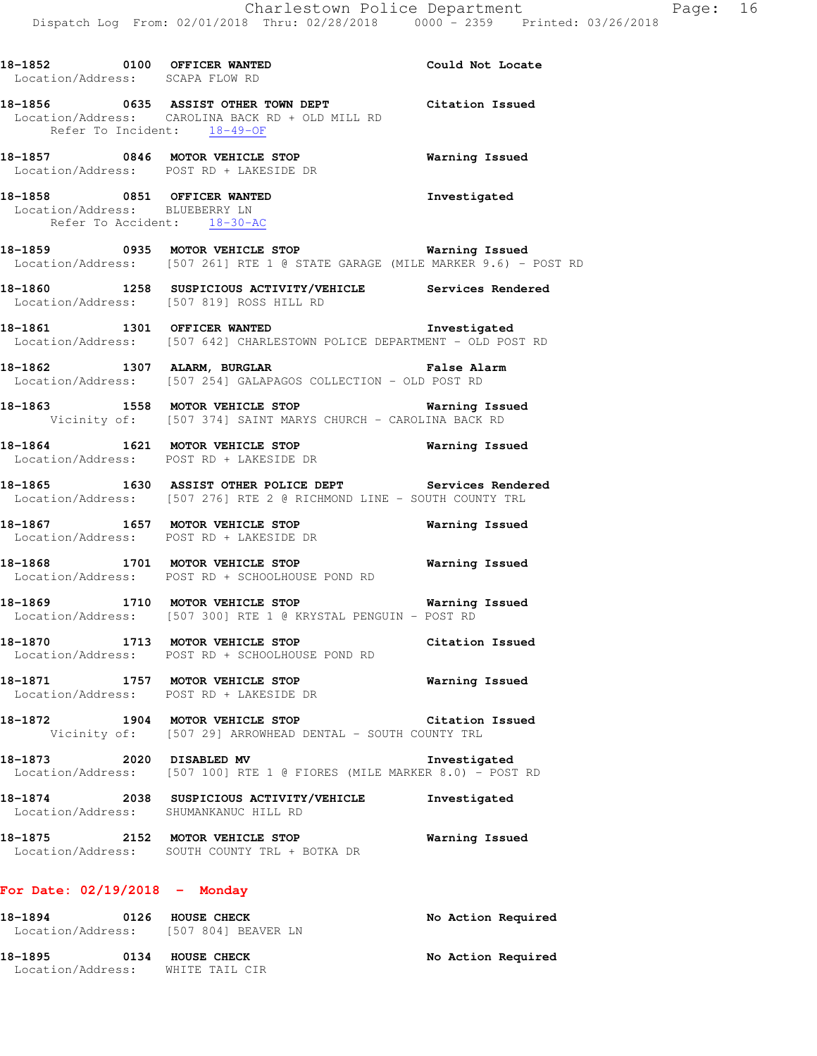**18-1856 0635 ASSIST OTHER TOWN DEPT Citation Issued**  Location/Address: CAROLINA BACK RD + OLD MILL RD Refer To Incident: 18-49-OF

**18-1857 0846 MOTOR VEHICLE STOP Warning Issued**  Location/Address: POST RD + LAKESIDE DR

**18-1858 0851 OFFICER WANTED Investigated**  Location/Address: BLUEBERRY LN Refer To Accident: 18-30-AC

Location/Address: SCAPA FLOW RD

**18-1859 0935 MOTOR VEHICLE STOP Warning Issued**  Location/Address: [507 261] RTE 1 @ STATE GARAGE (MILE MARKER 9.6) - POST RD

- **18-1860 1258 SUSPICIOUS ACTIVITY/VEHICLE Services Rendered**  Location/Address: [507 819] ROSS HILL RD
- **18-1861 1301 OFFICER WANTED Investigated**  Location/Address: [507 642] CHARLESTOWN POLICE DEPARTMENT - OLD POST RD
- **18-1862 1307 ALARM, BURGLAR False Alarm**  Location/Address: [507 254] GALAPAGOS COLLECTION - OLD POST RD

**18-1863 1558 MOTOR VEHICLE STOP Warning Issued**  Vicinity of: [507 374] SAINT MARYS CHURCH - CAROLINA BACK RD

**18-1864 1621 MOTOR VEHICLE STOP Warning Issued**  Location/Address: POST RD + LAKESIDE DR

**18-1865 1630 ASSIST OTHER POLICE DEPT Services Rendered**  Location/Address: [507 276] RTE 2 @ RICHMOND LINE - SOUTH COUNTY TRL

**18-1867 1657 MOTOR VEHICLE STOP Warning Issued**  Location/Address: POST RD + LAKESIDE DR

**18-1868 1701 MOTOR VEHICLE STOP Warning Issued**  Location/Address: POST RD + SCHOOLHOUSE POND RD

**18-1869 1710 MOTOR VEHICLE STOP Warning Issued**  Location/Address: [507 300] RTE 1 @ KRYSTAL PENGUIN - POST RD

**18-1870 1713 MOTOR VEHICLE STOP Citation Issued**  Location/Address: POST RD + SCHOOLHOUSE POND RD

**18-1871 1757 MOTOR VEHICLE STOP Warning Issued**  Location/Address: POST RD + LAKESIDE DR

**18-1872 1904 MOTOR VEHICLE STOP Citation Issued**  Vicinity of: [507 29] ARROWHEAD DENTAL - SOUTH COUNTY TRL

**18-1873 2020 DISABLED MV Investigated**  Location/Address: [507 100] RTE 1 @ FIORES (MILE MARKER 8.0) - POST RD

**18-1874 2038 SUSPICIOUS ACTIVITY/VEHICLE Investigated**  Location/Address: SHUMANKANUC HILL RD

**18-1875 2152 MOTOR VEHICLE STOP Warning Issued**  Location/Address: SOUTH COUNTY TRL + BOTKA DR

### **For Date: 02/19/2018 - Monday**

| 18-1894                      | 0126 | HOUSE CHECK<br>Location/Address: [507 804] BEAVER LN | No Action Required |
|------------------------------|------|------------------------------------------------------|--------------------|
| 18-1895<br>Location/Address: | 0134 | HOUSE CHECK<br>WHITE TAIL CIR                        | No Action Required |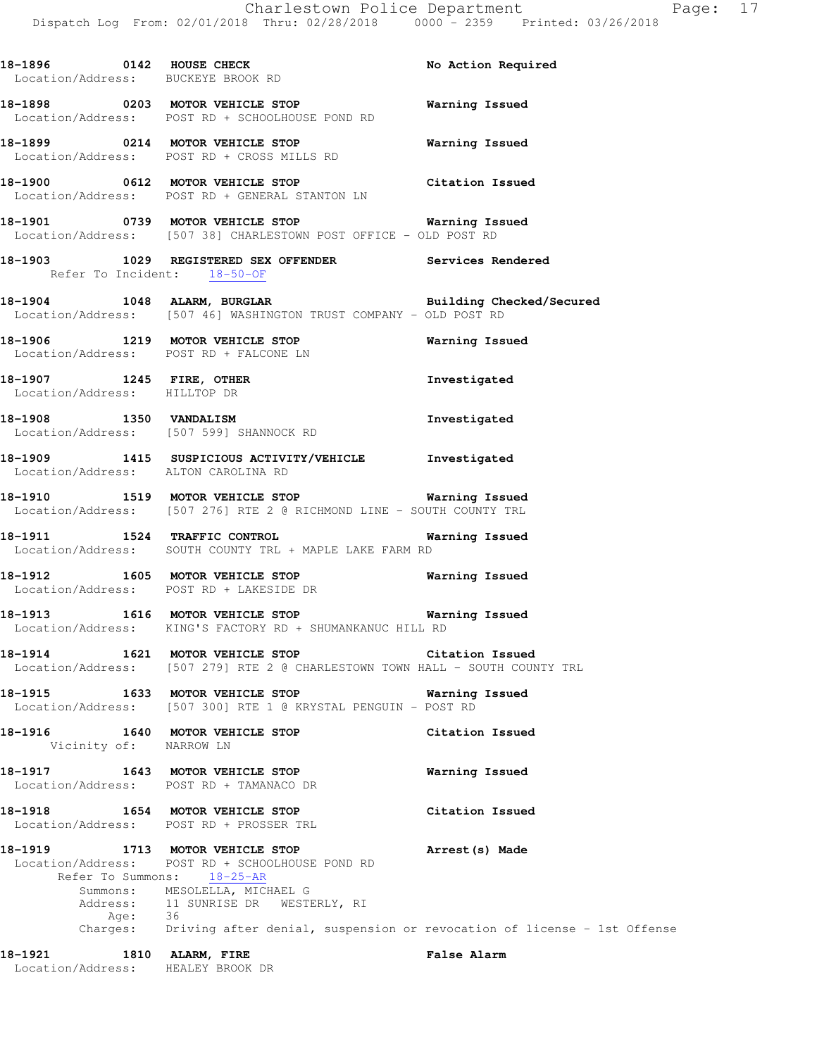18-1896 **0142 HOUSE CHECK 18-1896** No Action Required

Location/Address: BUCKEYE BROOK RD

**18-1898 0203 MOTOR VEHICLE STOP Warning Issued**  Location/Address: POST RD + SCHOOLHOUSE POND RD **18-1899 0214 MOTOR VEHICLE STOP Warning Issued**  Location/Address: POST RD + CROSS MILLS RD **18-1900 0612 MOTOR VEHICLE STOP Citation Issued**  Location/Address: POST RD + GENERAL STANTON LN **18-1901 0739 MOTOR VEHICLE STOP Warning Issued**  Location/Address: [507 38] CHARLESTOWN POST OFFICE - OLD POST RD **18-1903 1029 REGISTERED SEX OFFENDER Services Rendered**  Refer To Incident: 18-50-OF **18-1904 1048 ALARM, BURGLAR Building Checked/Secured**  Location/Address: [507 46] WASHINGTON TRUST COMPANY - OLD POST RD **18-1906 1219 MOTOR VEHICLE STOP Warning Issued**  Location/Address: POST RD + FALCONE LN **18-1907 1245 FIRE, OTHER Investigated**  Location/Address: HILLTOP DR **18-1908 1350 VANDALISM Investigated**  Location/Address: [507 599] SHANNOCK RD **18-1909 1415 SUSPICIOUS ACTIVITY/VEHICLE Investigated**  Location/Address: ALTON CAROLINA RD **18-1910 1519 MOTOR VEHICLE STOP Warning Issued**  Location/Address: [507 276] RTE 2 @ RICHMOND LINE - SOUTH COUNTY TRL **18-1911 1524 TRAFFIC CONTROL Warning Issued**  Location/Address: SOUTH COUNTY TRL + MAPLE LAKE FARM RD **18-1912 1605 MOTOR VEHICLE STOP Warning Issued**  Location/Address: POST RD + LAKESIDE DR **18-1913 1616 MOTOR VEHICLE STOP Warning Issued**  Location/Address: KING'S FACTORY RD + SHUMANKANUC HILL RD **18-1914 1621 MOTOR VEHICLE STOP Citation Issued**  Location/Address: [507 279] RTE 2 @ CHARLESTOWN TOWN HALL - SOUTH COUNTY TRL **18-1915 1633 MOTOR VEHICLE STOP Warning Issued**  Location/Address: [507 300] RTE 1 @ KRYSTAL PENGUIN - POST RD **18-1916 1640 MOTOR VEHICLE STOP Citation Issued**  Vicinity of: NARROW LN **18-1917 1643 MOTOR VEHICLE STOP Warning Issued**  Location/Address: POST RD + TAMANACO DR **18-1918 1654 MOTOR VEHICLE STOP Citation Issued**  Location/Address: POST RD + PROSSER TRL **18-1919 1713 MOTOR VEHICLE STOP Arrest(s) Made**  Location/Address: POST RD + SCHOOLHOUSE POND RD Refer To Summons: 18-25-AR Summons: MESOLELLA, MICHAEL G Address: 11 SUNRISE DR WESTERLY, RI

Age: 36<br>Charges: Dri Driving after denial, suspension or revocation of license - 1st Offense

**18-1921 1810 ALARM, FIRE False Alarm**  Location/Address: HEALEY BROOK DR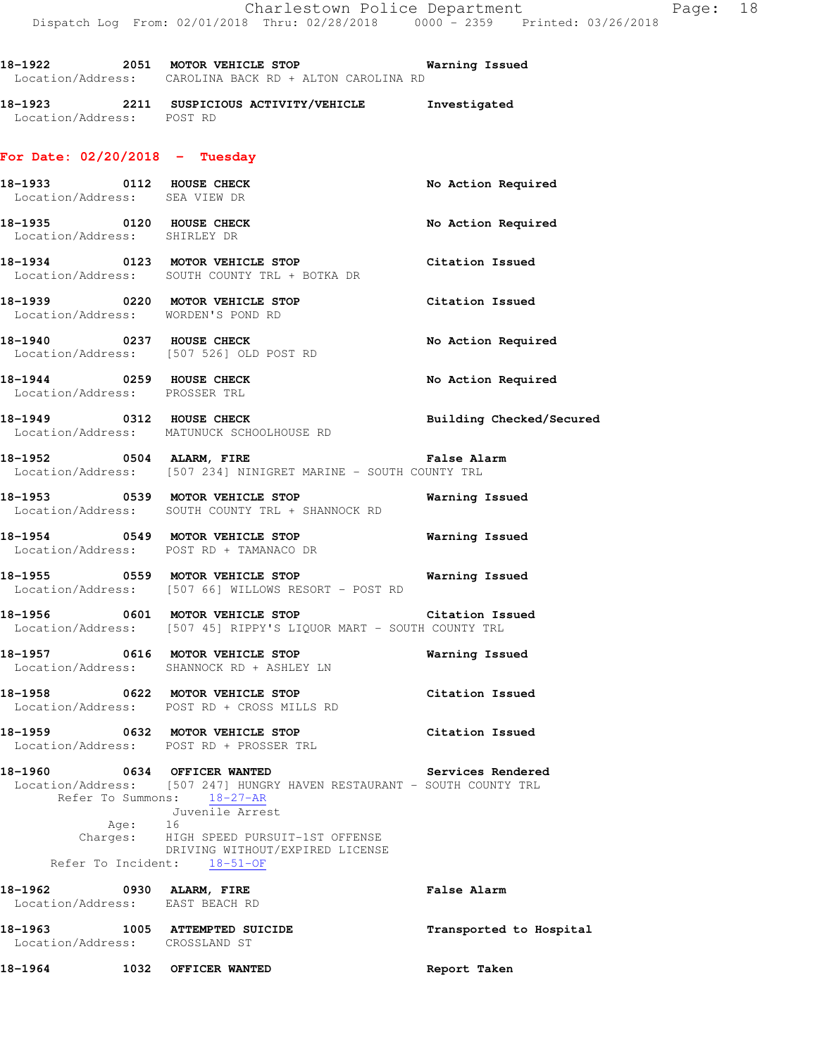|                                                                  | 18-1922 2051 MOTOR VEHICLE STOP Warning Issued<br>Location/Address: CAROLINA BACK RD + ALTON CAROLINA RD                                |                          |
|------------------------------------------------------------------|-----------------------------------------------------------------------------------------------------------------------------------------|--------------------------|
|                                                                  | 18-1923<br>Location/Address: POST RD<br>Location/Address: POST RD                                                                       |                          |
| For Date: $02/20/2018$ - Tuesday                                 |                                                                                                                                         |                          |
| 18-1933 0112 HOUSE CHECK<br>Location/Address: SEA VIEW DR        |                                                                                                                                         | No Action Required       |
| 18-1935 0120 HOUSE CHECK<br>Location/Address: SHIRLEY DR         |                                                                                                                                         | No Action Required       |
|                                                                  | 18-1934 0123 MOTOR VEHICLE STOP<br>Location/Address: SOUTH COUNTY TRL + BOTKA DR                                                        | Citation Issued          |
| Location/Address: WORDEN'S POND RD                               | 18-1939 		 0220 MOTOR VEHICLE STOP 		 Citation Issued                                                                                   |                          |
|                                                                  | 18-1940 0237 HOUSE CHECK<br>Location/Address: [507 526] OLD POST RD                                                                     | No Action Required       |
| 18-1944 0259 HOUSE CHECK<br>Location/Address: PROSSER TRL        |                                                                                                                                         | No Action Required       |
|                                                                  | 18-1949 0312 HOUSE CHECK<br>Location/Address: MATUNUCK SCHOOLHOUSE RD                                                                   | Building Checked/Secured |
|                                                                  | 18-1952 <b>0504 ALARM, FIRE False Alarm</b><br>Location/Address: [507 234] NINIGRET MARINE - SOUTH COUNTY TRL                           |                          |
|                                                                  | 18-1953       0539    MOTOR VEHICLE STOP              Warning Issued<br>Location/Address:    SOUTH COUNTY TRL + SHANNOCK RD             |                          |
|                                                                  | 18-1954 <b>0549 MOTOR VEHICLE STOP</b><br>Location/Address: POST RD + TAMANACO DR                                                       | <b>Warning Issued</b>    |
|                                                                  | -<br>18-1955 1859 MOTOR VEHICLE STOP 1980 Marning Issued<br>Location/Address: [507 66] WILLOWS RESORT - POST RD                         |                          |
|                                                                  | 18-1956 0601 MOTOR VEHICLE STOP Citation Issued<br>Location/Address: [507 45] RIPPY'S LIQUOR MART - SOUTH COUNTY TRL                    |                          |
|                                                                  | 18-1957 0616 MOTOR VEHICLE STOP<br>Location/Address: SHANNOCK RD + ASHLEY LN                                                            | Warning Issued           |
|                                                                  | 18-1958 0622 MOTOR VEHICLE STOP<br>Location/Address: POST RD + CROSS MILLS RD                                                           | Citation Issued          |
|                                                                  | 18-1959 0632 MOTOR VEHICLE STOP<br>Location/Address: POST RD + PROSSER TRL                                                              | Citation Issued          |
|                                                                  | 18-1960 0634 OFFICER WANTED<br>Location/Address: [507 247] HUNGRY HAVEN RESTAURANT - SOUTH COUNTY TRL<br>Refer To Summons: 18-27-AR     | <b>Services Rendered</b> |
|                                                                  | Juvenile Arrest<br>Age: 16<br>Charges: HIGH SPEED PURSUIT-1ST OFFENSE<br>DRIVING WITHOUT/EXPIRED LICENSE<br>Refer To Incident: 18-51-OF |                          |
| 18-1962 0930 ALARM, FIRE                                         |                                                                                                                                         | <b>False Alarm</b>       |
| Location/Address: EAST BEACH RD                                  |                                                                                                                                         | Transported to Hospital  |
| 18-1963 1005 ATTEMPTED SUICIDE<br>Location/Address: CROSSLAND ST |                                                                                                                                         |                          |
| 18-1964 1032 OFFICER WANTED                                      |                                                                                                                                         | Report Taken             |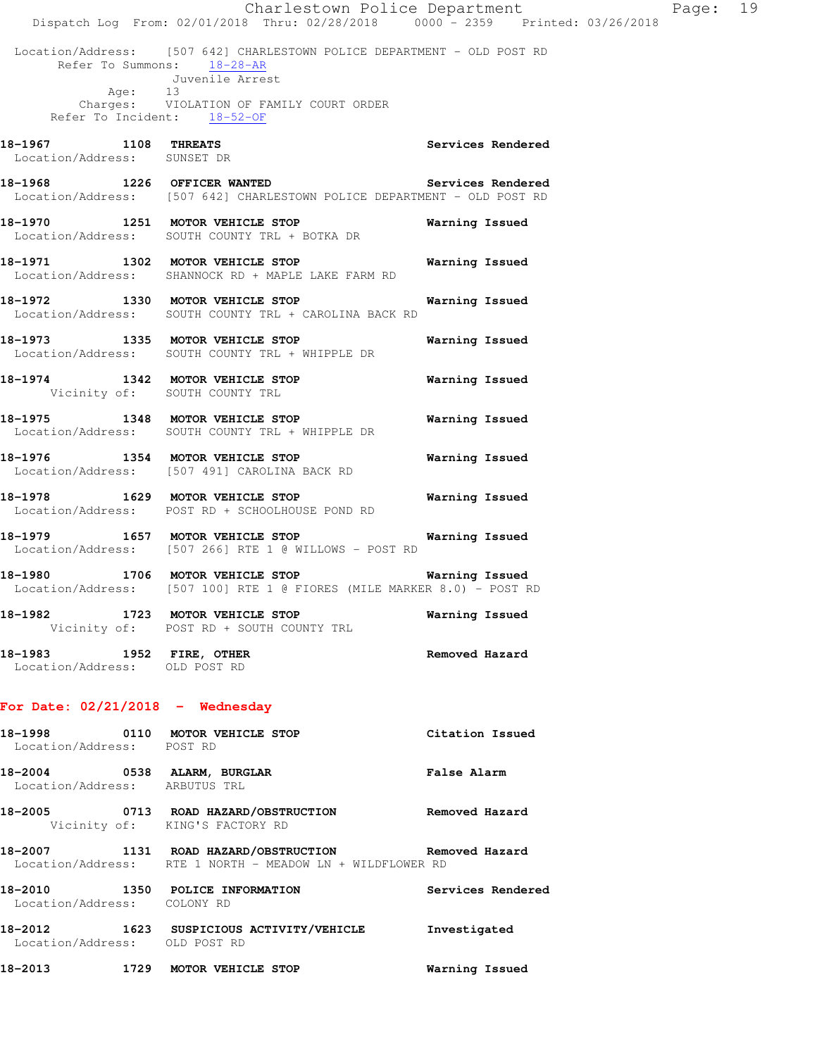|                                                              | Dispatch Log From: 02/01/2018 Thru: 02/28/2018 0000 - 2359 Printed: 03/26/2018                                                                                                                      | Charlestown Police Department | Page: 19 |  |
|--------------------------------------------------------------|-----------------------------------------------------------------------------------------------------------------------------------------------------------------------------------------------------|-------------------------------|----------|--|
| Age: 13                                                      | Location/Address: [507 642] CHARLESTOWN POLICE DEPARTMENT - OLD POST RD<br>Refer To Summons: 18-28-AR<br>Juvenile Arrest<br>Charges: VIOLATION OF FAMILY COURT ORDER<br>Refer To Incident: 18-52-OF |                               |          |  |
| 18-1967 1108 THREATS<br>Location/Address: SUNSET DR          |                                                                                                                                                                                                     | Services Rendered             |          |  |
|                                                              | 18-1968 1226 OFFICER WANTED Services Rendered<br>Location/Address: [507 642] CHARLESTOWN POLICE DEPARTMENT - OLD POST RD                                                                            |                               |          |  |
|                                                              | 18-1970 1251 MOTOR VEHICLE STOP 6 Warning Issued<br>Location/Address: SOUTH COUNTY TRL + BOTKA DR                                                                                                   |                               |          |  |
|                                                              | 18-1971 1302 MOTOR VEHICLE STOP 6 Warning Issued<br>Location/Address: SHANNOCK RD + MAPLE LAKE FARM RD                                                                                              |                               |          |  |
|                                                              | 18-1972 1330 MOTOR VEHICLE STOP<br>Location/Address: SOUTH COUNTY TRL + CAROLINA BACK RD                                                                                                            | Warning Issued                |          |  |
|                                                              | 18-1973 1335 MOTOR VEHICLE STOP<br>Location/Address: SOUTH COUNTY TRL + WHIPPLE DR                                                                                                                  | Warning Issued                |          |  |
| Vicinity of: SOUTH COUNTY TRL                                | 18-1974 1342 MOTOR VEHICLE STOP <b>Warning Issued</b>                                                                                                                                               |                               |          |  |
|                                                              | 18-1975 1348 MOTOR VEHICLE STOP<br>Location/Address: SOUTH COUNTY TRL + WHIPPLE DR                                                                                                                  | Warning Issued                |          |  |
|                                                              | 18-1976 1354 MOTOR VEHICLE STOP<br>Location/Address: [507 491] CAROLINA BACK RD                                                                                                                     | Warning Issued                |          |  |
|                                                              | 18-1978 1629 MOTOR VEHICLE STOP<br>Location/Address: POST RD + SCHOOLHOUSE POND RD                                                                                                                  | <b>Warning Issued</b>         |          |  |
|                                                              | 18-1979 1657 MOTOR VEHICLE STOP 18-1979 Warning Issued<br>Location/Address: [507 266] RTE 1 @ WILLOWS - POST RD                                                                                     |                               |          |  |
|                                                              | 18-1980 1706 MOTOR VEHICLE STOP 6 Warning Issued<br>Location/Address: [507 100] RTE 1 @ FIORES (MILE MARKER 8.0) - POST RD                                                                          |                               |          |  |
|                                                              | 18-1982 1723 MOTOR VEHICLE STOP<br>Vicinity of: POST RD + SOUTH COUNTY TRL                                                                                                                          | Warning Issued                |          |  |
| 18-1983 1952 FIRE, OTHER<br>Location/Address: OLD POST RD    |                                                                                                                                                                                                     | Removed Hazard                |          |  |
| For Date: $02/21/2018$ - Wednesday                           |                                                                                                                                                                                                     |                               |          |  |
| Location/Address: POST RD                                    | 18-1998 0110 MOTOR VEHICLE STOP                                                                                                                                                                     | Citation Issued               |          |  |
| 18-2004 0538 ALARM, BURGLAR<br>Location/Address: ARBUTUS TRL |                                                                                                                                                                                                     | <b>False Alarm</b>            |          |  |
| 18-2005                                                      | 0713 ROAD HAZARD/OBSTRUCTION                                                                                                                                                                        | Removed Hazard                |          |  |

Vicinity of: KING'S FACTORY RD

**18-2007 1131 ROAD HAZARD/OBSTRUCTION Removed Hazard**  Location/Address: RTE 1 NORTH - MEADOW LN + WILDFLOWER RD

**18-2010 1350 POLICE INFORMATION Services Rendered**  Location/Address: COLONY RD **18-2012 1623 SUSPICIOUS ACTIVITY/VEHICLE Investigated**  Location/Address: OLD POST RD **18-2013 1729 MOTOR VEHICLE STOP Warning Issued**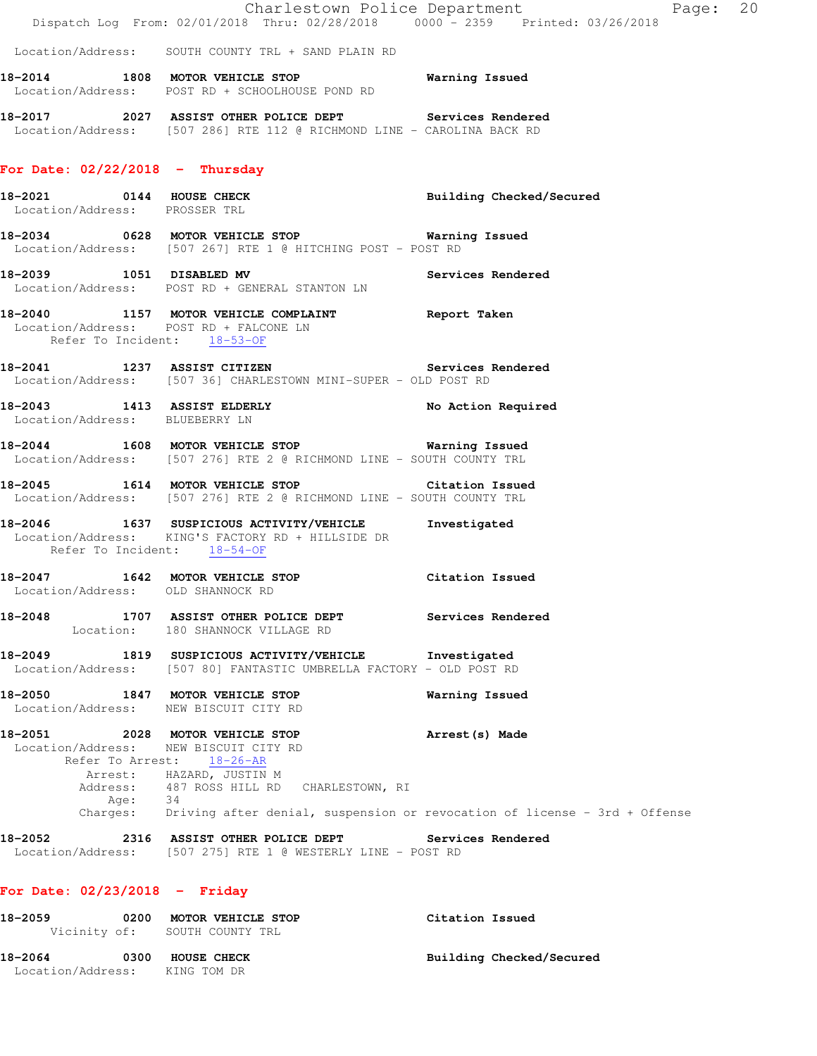|                                   |         | Dispatch Log From: 02/01/2018 Thru: 02/28/2018   0000 - 2359   Printed: 03/26/2018                                                                                             | Charlestown Police Department | Page: 20 |  |
|-----------------------------------|---------|--------------------------------------------------------------------------------------------------------------------------------------------------------------------------------|-------------------------------|----------|--|
|                                   |         | Location/Address: SOUTH COUNTY TRL + SAND PLAIN RD                                                                                                                             |                               |          |  |
|                                   |         | 18-2014 1808 MOTOR VEHICLE STOP Warning Issued<br>Location/Address: POST RD + SCHOOLHOUSE POND RD                                                                              |                               |          |  |
|                                   |         | 18-2017 2027 ASSIST OTHER POLICE DEPT Services Rendered<br>Location/Address: [507 286] RTE 112 @ RICHMOND LINE - CAROLINA BACK RD                                              |                               |          |  |
| For Date: $02/22/2018$ - Thursday |         |                                                                                                                                                                                |                               |          |  |
| Location/Address: PROSSER TRL     |         | 18-2021 0144 HOUSE CHECK                                                                                                                                                       | Building Checked/Secured      |          |  |
|                                   |         | 18-2034 0628 MOTOR VEHICLE STOP 6 Warning Issued<br>Location/Address: [507 267] RTE 1 @ HITCHING POST - POST RD                                                                |                               |          |  |
|                                   |         | 18-2039 1051 DISABLED MV 3ervices Rendered<br>Location/Address: POST RD + GENERAL STANTON LN                                                                                   |                               |          |  |
|                                   |         | 18-2040 1157 MOTOR VEHICLE COMPLAINT Report Taken<br>Location/Address: POST RD + FALCONE LN<br>Refer To Incident: 18-53-OF                                                     |                               |          |  |
|                                   |         | 18-2041 1237 ASSIST CITIZEN Services Rendered<br>Location/Address: [507 36] CHARLESTOWN MINI-SUPER - OLD POST RD                                                               |                               |          |  |
| Location/Address: BLUEBERRY LN    |         | 18-2043 1413 ASSIST ELDERLY                                                                                                                                                    | No Action Required            |          |  |
|                                   |         | 1608 MOTOR VEHICLE STOP Warning Issued<br>Location/Address: [507 276] RTE 2 @ RICHMOND LINE - SOUTH COUNTY TRL                                                                 |                               |          |  |
|                                   |         | 18-2045 1614 MOTOR VEHICLE STOP Citation Issued<br>Location/Address: [507 276] RTE 2 @ RICHMOND LINE - SOUTH COUNTY TRL                                                        |                               |          |  |
|                                   |         | 18-2046 1637 SUSPICIOUS ACTIVITY/VEHICLE Investigated<br>Location/Address: KING'S FACTORY RD + HILLSIDE DR<br>Refer To Incident: 18-54-OF                                      |                               |          |  |
|                                   |         | 18-2047 1642 MOTOR VEHICLE STOP Citation Issued<br>Location/Address: OLD SHANNOCK RD                                                                                           |                               |          |  |
|                                   |         | 18-2048 1707 ASSIST OTHER POLICE DEPT<br>Location: 180 SHANNOCK VILLAGE RD                                                                                                     | Services Rendered             |          |  |
|                                   |         | 18-2049 1819 SUSPICIOUS ACTIVITY/VEHICLE Investigated<br>Location/Address: [507 80] FANTASTIC UMBRELLA FACTORY - OLD POST RD                                                   |                               |          |  |
|                                   |         | 18-2050 1847 MOTOR VEHICLE STOP<br>Location/Address: NEW BISCUIT CITY RD                                                                                                       | Warning Issued                |          |  |
|                                   | Age: 34 | 18-2051 2028 MOTOR VEHICLE STOP<br>Location/Address: NEW BISCUIT CITY RD<br>Refer To Arrest: 18-26-AR<br>Arrest: HAZARD, JUSTIN M<br>Address: 487 ROSS HILL RD CHARLESTOWN, RI | Arrest (s) Made               |          |  |
|                                   |         | Charges: Driving after denial, suspension or revocation of license - 3rd + Offense                                                                                             |                               |          |  |
|                                   |         | 18-2052 2316 ASSIST OTHER POLICE DEPT Services Rendered<br>Location/Address: [507 275] RTE 1 @ WESTERLY LINE - POST RD                                                         |                               |          |  |
| For Date: $02/23/2018$ - Friday   |         |                                                                                                                                                                                |                               |          |  |
| 18-2059                           |         | 0200 MOTOR VEHICLE STOP                                                                                                                                                        | Citation Issued               |          |  |

Building Checked/Secured 18-2064 0300 HOUSE CHECK<br>Location/Address: KING TOM DR

Vicinity of: SOUTH COUNTY TRL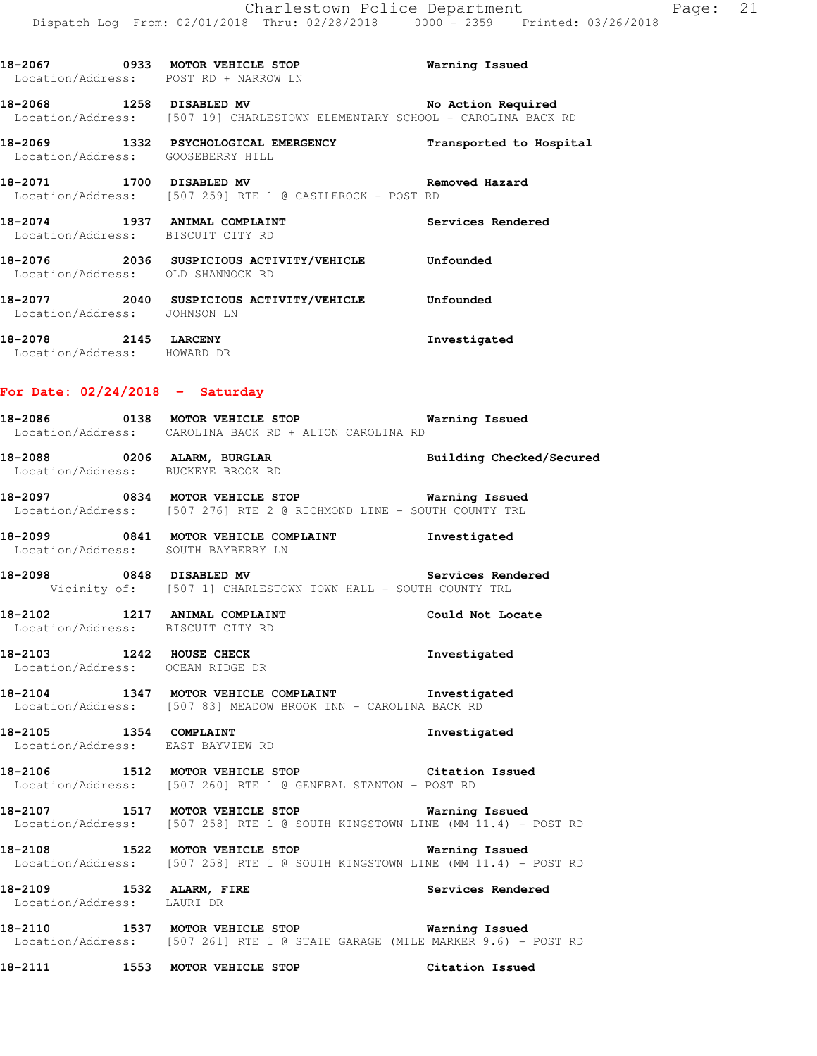|                                                     | 18-2068 1258 DISABLED MV 18-2068 No Action Required<br>Location/Address: [507 19] CHARLESTOWN ELEMENTARY SCHOOL - CAROLINA BACK RD    |                   |
|-----------------------------------------------------|---------------------------------------------------------------------------------------------------------------------------------------|-------------------|
|                                                     | 18-2069 1332 PSYCHOLOGICAL EMERGENCY Transported to Hospital<br>Location/Address: GOOSEBERRY HILL                                     |                   |
|                                                     | 18-2071 1700 DISABLED MV 18-2071 Removed Hazard<br>Location/Address: [507 259] RTE 1 @ CASTLEROCK - POST RD                           |                   |
|                                                     | 18-2074 1937 ANIMAL COMPLAINT<br>Location/Address: BISCUIT CITY RD                                                                    | Services Rendered |
|                                                     | 18-2076<br>Location/Address: OLD SHANNOCK RD<br>Location/Address: OLD SHANNOCK RD                                                     |                   |
|                                                     | 18-2077  2040  SUSPICIOUS ACTIVITY/VEHICLE  Unfounded<br>Location/Address: JOHNSON LN                                                 |                   |
| 18-2078 2145 LARCENY<br>Location/Address: HOWARD DR |                                                                                                                                       | Investigated      |
| For Date: $02/24/2018$ - Saturday                   |                                                                                                                                       |                   |
|                                                     | 18-2086 0138 MOTOR VEHICLE STOP Warning Issued<br>Location/Address: CAROLINA BACK RD + ALTON CAROLINA RD                              |                   |
|                                                     | 18-2088 0206 ALARM, BURGLAR BURGLAR Building Checked/Secured<br>Location/Address: BUCKEYE BROOK RD                                    |                   |
|                                                     | 18-2097 0834 MOTOR VEHICLE STOP <b>Warning Issued</b><br>Location/Address: [507 276] RTE 2 @ RICHMOND LINE - SOUTH COUNTY TRL         |                   |
|                                                     | 18-2099 0841 MOTOR VEHICLE COMPLAINT Thvestigated<br>Location/Address: SOUTH BAYBERRY LN                                              |                   |
|                                                     | 18-2098 6848 DISABLED MV 30 Services Rendered<br>Vicinity of: [507 1] CHARLESTOWN TOWN HALL - SOUTH COUNTY TRL                        |                   |
| Location/Address: BISCUIT CITY RD                   | 18-2102 1217 ANIMAL COMPLAINT                                                                                                         | Could Not Locate  |
|                                                     | 18-2103 1242 HOUSE CHECK<br>Location/Address: OCEAN RIDGE DR                                                                          | Investigated      |
|                                                     | 18-2104 1347 MOTOR VEHICLE COMPLAINT 1nvestigated<br>Location/Address: [507 83] MEADOW BROOK INN - CAROLINA BACK RD                   |                   |
|                                                     | 18-2105 1354 COMPLAINT<br>Location/Address: EAST BAYVIEW RD                                                                           | Investigated      |
|                                                     | 18-2106 1512 MOTOR VEHICLE STOP Citation Issued<br>Location/Address: [507 260] RTE 1 @ GENERAL STANTON - POST RD                      |                   |
|                                                     | 18-2107 1517 MOTOR VEHICLE STOP Warning Issued<br>Location/Address: [507 258] RTE 1 @ SOUTH KINGSTOWN LINE (MM 11.4) - POST RD        |                   |
|                                                     | 18-2108 1522 MOTOR VEHICLE STOP<br>Location/Address: [507 258] RTE 1 @ SOUTH KINGSTOWN LINE (MM 11.4) - POST RD                       | Warning Issued    |
| Location/Address: LAURI DR                          | 18-2109 1532 ALARM, FIRE                                                                                                              | Services Rendered |
|                                                     | 18-2110 1537 MOTOR VEHICLE STOP <b>Warning Issued</b><br>Location/Address: [507 261] RTE 1 @ STATE GARAGE (MILE MARKER 9.6) - POST RD |                   |
|                                                     | 18-2111 1553 MOTOR VEHICLE STOP                                                                                                       | Citation Issued   |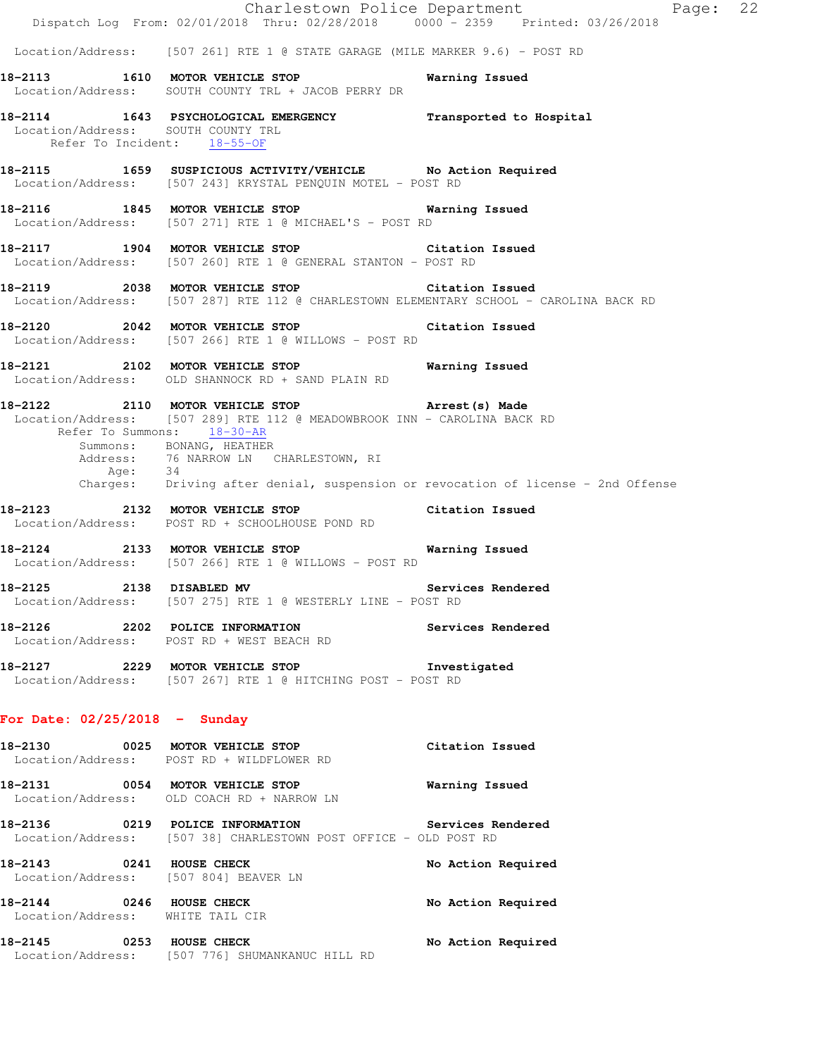|                                                                   | Dispatch Log From: 02/01/2018 Thru: 02/28/2018 0000 - 2359 Printed: 03/26/2018                                                            | Charlestown Police Department<br>Page: 22                                        |  |
|-------------------------------------------------------------------|-------------------------------------------------------------------------------------------------------------------------------------------|----------------------------------------------------------------------------------|--|
|                                                                   | Location/Address: [507 261] RTE 1 @ STATE GARAGE (MILE MARKER 9.6) - POST RD                                                              |                                                                                  |  |
|                                                                   | 18-2113 1610 MOTOR VEHICLE STOP<br>Location/Address: SOUTH COUNTY TRL + JACOB PERRY DR                                                    | Warning Issued                                                                   |  |
| Location/Address: SOUTH COUNTY TRL<br>Refer To Incident: 18-55-OF | 18-2114 1643 PSYCHOLOGICAL EMERGENCY Transported to Hospital                                                                              |                                                                                  |  |
|                                                                   | 18-2115 1659 SUSPICIOUS ACTIVITY/VEHICLE No Action Required<br>Location/Address: [507 243] KRYSTAL PENQUIN MOTEL - POST RD                |                                                                                  |  |
|                                                                   | 18-2116 1845 MOTOR VEHICLE STOP 6 Warning Issued<br>Location/Address: [507 271] RTE 1 @ MICHAEL'S - POST RD                               |                                                                                  |  |
|                                                                   | 18-2117 1904 MOTOR VEHICLE STOP Citation Issued<br>Location/Address: [507 260] RTE 1 @ GENERAL STANTON - POST RD                          |                                                                                  |  |
|                                                                   | 18-2119 2038 MOTOR VEHICLE STOP Citation Issued<br>Location/Address: [507 287] RTE 112 @ CHARLESTOWN ELEMENTARY SCHOOL - CAROLINA BACK RD |                                                                                  |  |
|                                                                   | 18-2120 2042 MOTOR VEHICLE STOP Citation Issued<br>Location/Address: [507 266] RTE 1 @ WILLOWS - POST RD                                  |                                                                                  |  |
|                                                                   | 18-2121 2102 MOTOR VEHICLE STOP 6 Warning Issued<br>Location/Address: OLD SHANNOCK RD + SAND PLAIN RD                                     |                                                                                  |  |
| Refer To Summons: 18-30-AR                                        | 18-2122 2110 MOTOR VEHICLE STOP Arrest (s) Made<br>Location/Address: [507 289] RTE 112 @ MEADOWBROOK INN - CAROLINA BACK RD               |                                                                                  |  |
| Age: 34                                                           | Summons: BONANG, HEATHER<br>Address: 76 NARROW LN CHARLESTOWN, RI                                                                         |                                                                                  |  |
|                                                                   |                                                                                                                                           | Charges: Driving after denial, suspension or revocation of license - 2nd Offense |  |
|                                                                   | 18-2123 2132 MOTOR VEHICLE STOP Citation Issued<br>Location/Address: POST RD + SCHOOLHOUSE POND RD                                        |                                                                                  |  |
|                                                                   | 18-2124 2133 MOTOR VEHICLE STOP Warning Issued<br>Location/Address: [507 266] RTE 1 @ WILLOWS - POST RD                                   |                                                                                  |  |
| 18-2125 2138 DISABLED MV                                          | Location/Address: [507 275] RTE 1 @ WESTERLY LINE - POST RD                                                                               | Services Rendered                                                                |  |
|                                                                   | 18-2126 2202 POLICE INFORMATION Services Rendered<br>Location/Address: POST RD + WEST BEACH RD                                            |                                                                                  |  |
|                                                                   | 18-2127 2229 MOTOR VEHICLE STOP Investigated<br>Location/Address: [507 267] RTE 1 @ HITCHING POST - POST RD                               |                                                                                  |  |
| For Date: $02/25/2018$ - Sunday                                   |                                                                                                                                           |                                                                                  |  |
|                                                                   | 18-2130 0025 MOTOR VEHICLE STOP<br>Location/Address: POST RD + WILDFLOWER RD                                                              | Citation Issued                                                                  |  |
|                                                                   | 18-2131 0054 MOTOR VEHICLE STOP<br>Location/Address: OLD COACH RD + NARROW LN                                                             | <b>Warning Issued</b>                                                            |  |
|                                                                   | 18-2136 0219 POLICE INFORMATION<br>Location/Address: [507 38] CHARLESTOWN POST OFFICE - OLD POST RD                                       | Services Rendered                                                                |  |
| 18-2143 0241 HOUSE CHECK<br>Location/Address: [507 804] BEAVER LN |                                                                                                                                           | No Action Required                                                               |  |
| 18-2144 0246 HOUSE CHECK                                          | Location/Address: WHITE TAIL CIR                                                                                                          | No Action Required                                                               |  |
|                                                                   | 18-2145 0253 HOUSE CHECK<br>Location/Address: [507 776] SHUMANKANUC HILL RD                                                               | No Action Required                                                               |  |
|                                                                   |                                                                                                                                           |                                                                                  |  |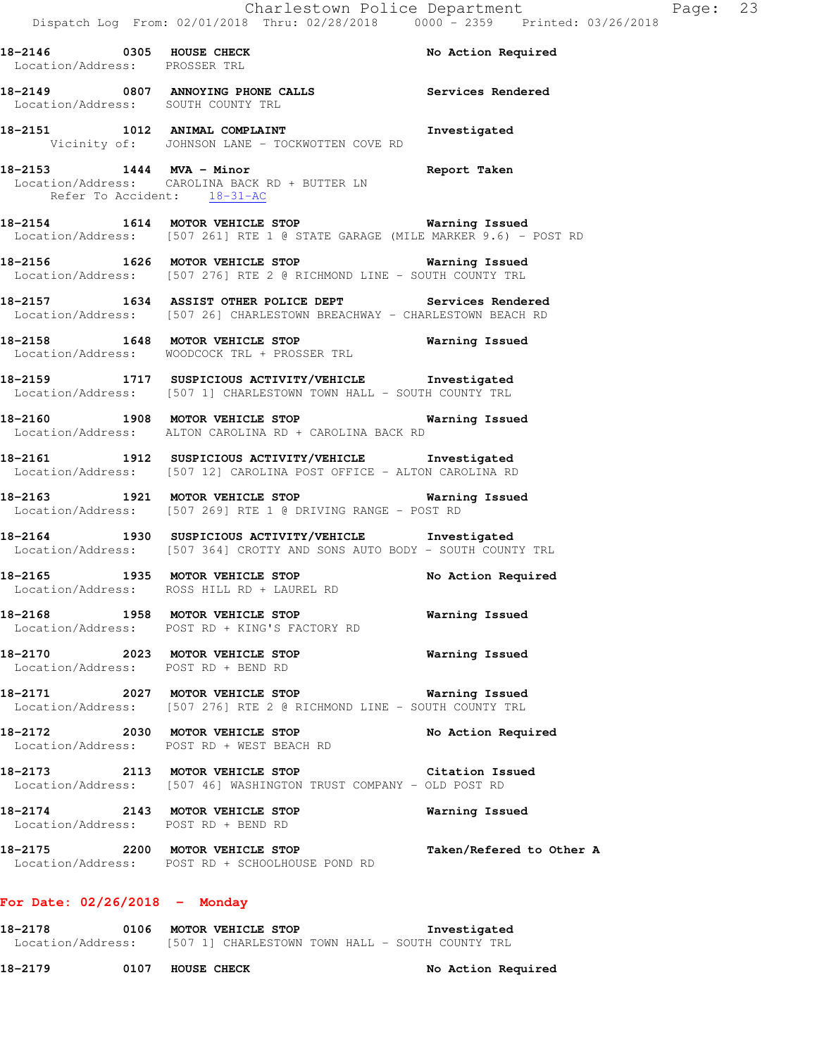| Location/Address: PROSSER TRL | 18-2146 0305 HOUSE CHECK                                                                                                           | No Action Required |
|-------------------------------|------------------------------------------------------------------------------------------------------------------------------------|--------------------|
|                               | 18-2149 0807 ANNOYING PHONE CALLS Services Rendered<br>Location/Address: SOUTH COUNTY TRL                                          |                    |
|                               | 18-2151 1012 ANIMAL COMPLAINT 100 Investigated<br>Vicinity of: JOHNSON LANE - TOCKWOTTEN COVE RD                                   |                    |
| Refer To Accident: 18-31-AC   | 18-2153 1444 MVA - Minor Neport Taken<br>Location/Address: CAROLINA BACK RD + BUTTER LN                                            |                    |
|                               | 18-2154 1614 MOTOR VEHICLE STOP 18 Warning Issued<br>Location/Address: [507 261] RTE 1 @ STATE GARAGE (MILE MARKER 9.6) - POST RD  |                    |
|                               | 18-2156 1626 MOTOR VEHICLE STOP 18 Warning Issued<br>Location/Address: [507 276] RTE 2 @ RICHMOND LINE - SOUTH COUNTY TRL          |                    |
|                               | 18-2157 1634 ASSIST OTHER POLICE DEPT Services Rendered<br>Location/Address: [507 26] CHARLESTOWN BREACHWAY - CHARLESTOWN BEACH RD |                    |
|                               | 18-2158 1648 MOTOR VEHICLE STOP 18 Warning Issued<br>Location/Address: WOODCOCK TRL + PROSSER TRL                                  |                    |
|                               | 18-2159 1717 SUSPICIOUS ACTIVITY/VEHICLE Investigated<br>Location/Address: [507 1] CHARLESTOWN TOWN HALL - SOUTH COUNTY TRL        |                    |
|                               | 18-2160 1908 MOTOR VEHICLE STOP 18-10 Warning Issued<br>Location/Address: ALTON CAROLINA RD + CAROLINA BACK RD                     |                    |

**18-2161 1912 SUSPICIOUS ACTIVITY/VEHICLE Investigated**  Location/Address: [507 12] CAROLINA POST OFFICE - ALTON CAROLINA RD

**18-2163 1921 MOTOR VEHICLE STOP Warning Issued**  Location/Address: [507 269] RTE 1 @ DRIVING RANGE - POST RD

**18-2164 1930 SUSPICIOUS ACTIVITY/VEHICLE Investigated**  Location/Address: [507 364] CROTTY AND SONS AUTO BODY - SOUTH COUNTY TRL

**18-2165 1935 MOTOR VEHICLE STOP No Action Required**  Location/Address: ROSS HILL RD + LAUREL RD

**18-2168 1958 MOTOR VEHICLE STOP Warning Issued**  Location/Address: POST RD + KING'S FACTORY RD

**18-2170 2023 MOTOR VEHICLE STOP Warning Issued**  Location/Address: POST RD + BEND RD

**18-2171 2027 MOTOR VEHICLE STOP Warning Issued**  Location/Address: [507 276] RTE 2 @ RICHMOND LINE - SOUTH COUNTY TRL

**18-2172 2030 MOTOR VEHICLE STOP No Action Required**  Location/Address: POST RD + WEST BEACH RD

**18-2173 2113 MOTOR VEHICLE STOP Citation Issued**  Location/Address: [507 46] WASHINGTON TRUST COMPANY - OLD POST RD

**18-2174 2143 MOTOR VEHICLE STOP Warning Issued**  Location/Address: POST RD + BEND RD

**18-2175 2200 MOTOR VEHICLE STOP Taken/Refered to Other A**  Location/Address: POST RD + SCHOOLHOUSE POND RD

#### **For Date: 02/26/2018 - Monday**

**18-2178 0106 MOTOR VEHICLE STOP Investigated**  Location/Address: [507 1] CHARLESTOWN TOWN HALL - SOUTH COUNTY TRL

18-2179 **0107 HOUSE CHECK 19** No Action Required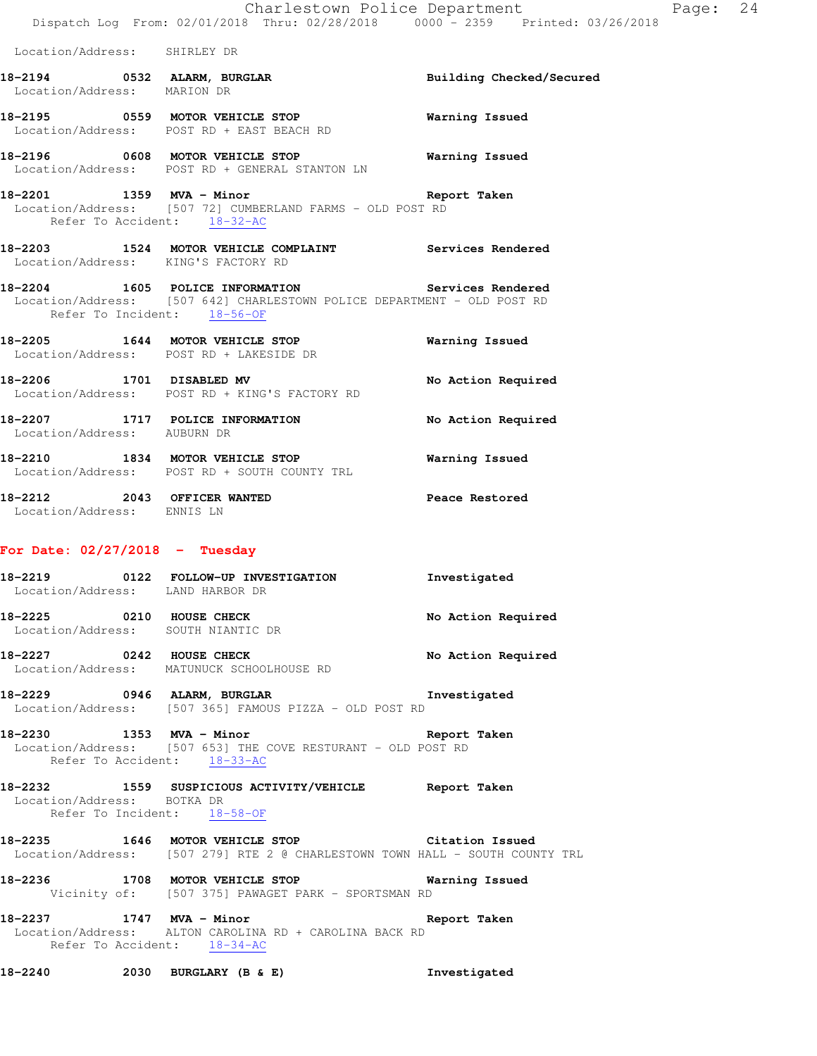**18-2194 0532 ALARM, BURGLAR Building Checked/Secured** 

Location/Address: SHIRLEY DR

 Location/Address: MARION DR **18-2195 0559 MOTOR VEHICLE STOP Warning Issued**  Location/Address: POST RD + EAST BEACH RD **18-2196 0608 MOTOR VEHICLE STOP Warning Issued**  Location/Address: POST RD + GENERAL STANTON LN **18-2201 1359 MVA - Minor Report Taken**  Location/Address: [507 72] CUMBERLAND FARMS - OLD POST RD Refer To Accident: 18-32-AC **18-2203 1524 MOTOR VEHICLE COMPLAINT Services Rendered**  Location/Address: KING'S FACTORY RD **18-2204 1605 POLICE INFORMATION Services Rendered**  Location/Address: [507 642] CHARLESTOWN POLICE DEPARTMENT - OLD POST RD Refer To Incident: 18-56-OF **18-2205 1644 MOTOR VEHICLE STOP Warning Issued**  Location/Address: POST RD + LAKESIDE DR 18-2206 1701 DISABLED MV **No Action Required**  Location/Address: POST RD + KING'S FACTORY RD **18-2207 1717 POLICE INFORMATION No Action Required**  Location/Address: AUBURN DR **18-2210 1834 MOTOR VEHICLE STOP Warning Issued**  Location/Address: POST RD + SOUTH COUNTY TRL **18-2212 2043 OFFICER WANTED Peace Restored**  Location/Address: ENNIS LN **For Date: 02/27/2018 - Tuesday 18-2219 0122 FOLLOW-UP INVESTIGATION Investigated**  Location/Address: LAND HARBOR DR **18-2225 0210 HOUSE CHECK No Action Required**  Location/Address: SOUTH NIANTIC DR 18-2227 **0242 HOUSE CHECK 18-2227 18-2227**  Location/Address: MATUNUCK SCHOOLHOUSE RD **18-2229 0946 ALARM, BURGLAR Investigated**  Location/Address: [507 365] FAMOUS PIZZA - OLD POST RD **18-2230 1353 MVA - Minor Report Taken**  Location/Address: [507 653] THE COVE RESTURANT - OLD POST RD Refer To Accident: 18-33-AC **18-2232 1559 SUSPICIOUS ACTIVITY/VEHICLE Report Taken**  Location/Address: BOTKA DR Refer To Incident: 18-58-OF

**18-2235 1646 MOTOR VEHICLE STOP Citation Issued**  Location/Address: [507 279] RTE 2 @ CHARLESTOWN TOWN HALL - SOUTH COUNTY TRL

**18-2236 1708 MOTOR VEHICLE STOP Warning Issued**  Vicinity of: [507 375] PAWAGET PARK - SPORTSMAN RD

**18-2237 1747 MVA - Minor Report Taken**  Location/Address: ALTON CAROLINA RD + CAROLINA BACK RD Refer To Accident: 18-34-AC

**18-2240 2030 BURGLARY (B & E) Investigated**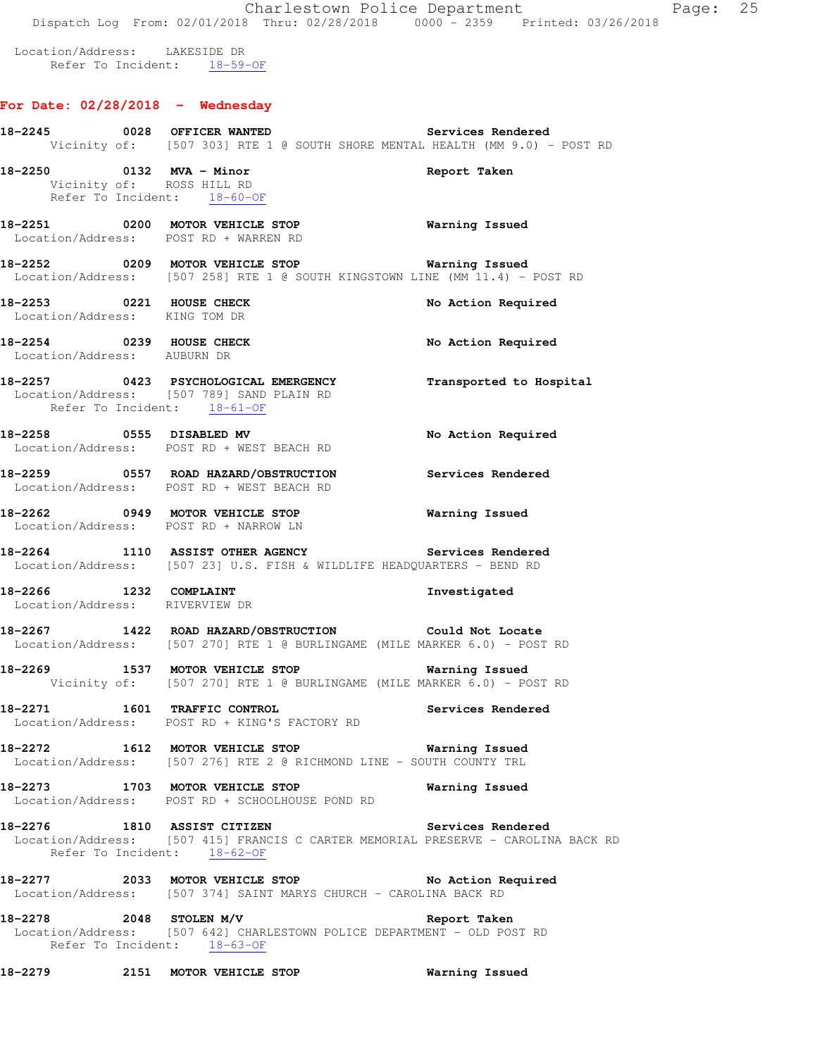# **For Date: 02/28/2018 - Wednesday**

|                                                          | 18-2245  0028 OFFICER WANTED Services Rendered<br>Vicinity of: [507 303] RTE 1 @ SOUTH SHORE MENTAL HEALTH (MM 9.0) - POST RD                                  |                       |
|----------------------------------------------------------|----------------------------------------------------------------------------------------------------------------------------------------------------------------|-----------------------|
| 18-2250 0132 MVA - Minor                                 | Vicinity of: ROSS HILL RD<br>Refer To Incident: 18-60-OF                                                                                                       | Report Taken          |
|                                                          | 18-2251 0200 MOTOR VEHICLE STOP<br>Location/Address: POST RD + WARREN RD                                                                                       | <b>Warning Issued</b> |
|                                                          | 18-2252 0209 MOTOR VEHICLE STOP Warning Issued<br>Location/Address: [507 258] RTE 1 @ SOUTH KINGSTOWN LINE (MM 11.4) - POST RD                                 |                       |
| Location/Address: KING TOM DR                            | 18-2253 0221 HOUSE CHECK                                                                                                                                       | No Action Required    |
| 18-2254 0239 HOUSE CHECK<br>Location/Address: AUBURN DR  |                                                                                                                                                                | No Action Required    |
| Refer To Incident: 18-61-OF                              | 18-2257 0423 PSYCHOLOGICAL EMERGENCY Transported to Hospital<br>Location/Address: [507 789] SAND PLAIN RD                                                      |                       |
|                                                          | 18-2258 0555 DISABLED MV<br>Location/Address: POST RD + WEST BEACH RD                                                                                          | No Action Required    |
|                                                          | 18-2259 0557 ROAD HAZARD/OBSTRUCTION Services Rendered<br>Location/Address: POST RD + WEST BEACH RD                                                            |                       |
|                                                          | 18-2262 0949 MOTOR VEHICLE STOP 6 Warning Issued<br>Location/Address: POST RD + NARROW LN                                                                      |                       |
|                                                          | 18-2264 1110 ASSIST OTHER AGENCY<br>Location/Address: [507 23] U.S. FISH & WILDLIFE HEADQUARTERS - BEND RD                                                     | Services Rendered     |
| 18-2266 1232 COMPLAINT<br>Location/Address: RIVERVIEW DR |                                                                                                                                                                | Investigated          |
|                                                          | <br>18-2267        1422   ROAD HAZARD/OBSTRUCTION               Could Not Locate<br>Location/Address: [507 270] RTE 1 @ BURLINGAME (MILE MARKER 6.0) - POST RD |                       |
|                                                          | 18-2269 1537 MOTOR VEHICLE STOP 6 Warning Issued<br>Vicinity of: [507 270] RTE 1 @ BURLINGAME (MILE MARKER 6.0) - POST RD                                      |                       |
| 18-2271 1601 TRAFFIC CONTROL                             | Location/Address: POST RD + KING'S FACTORY RD                                                                                                                  | Services Rendered     |
|                                                          | 18-2272 1612 MOTOR VEHICLE STOP<br>Location/Address: [507 276] RTE 2 @ RICHMOND LINE - SOUTH COUNTY TRL                                                        | Warning Issued        |
|                                                          | 18-2273 1703 MOTOR VEHICLE STOP<br>Location/Address: POST RD + SCHOOLHOUSE POND RD                                                                             | Warning Issued        |
|                                                          | 18-2276 1810 ASSIST CITIZEN<br>Location/Address: [507 415] FRANCIS C CARTER MEMORIAL PRESERVE - CAROLINA BACK RD<br>Refer To Incident: 18-62-OF                | Services Rendered     |
|                                                          |                                                                                                                                                                | No Action Required    |
| 18-2278 2048 STOLEN M/V                                  | Location/Address: [507 642] CHARLESTOWN POLICE DEPARTMENT - OLD POST RD<br>Refer To Incident: 18-63-OF                                                         | Report Taken          |

**18-2279 2151 MOTOR VEHICLE STOP Warning Issued**